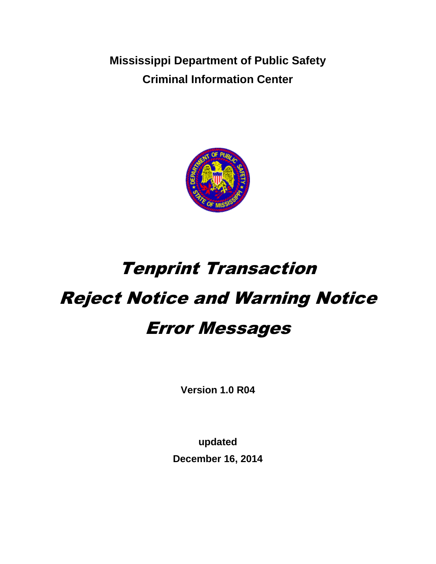**Mississippi Department of Public Safety Criminal Information Center**



# Tenprint Transaction Reject Notice and Warning Notice

# Error Messages

**Version 1.0 R04**

**updated December 16, 2014**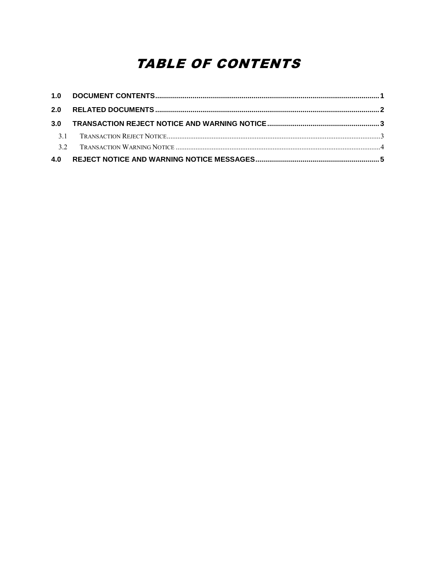## **TABLE OF CONTENTS**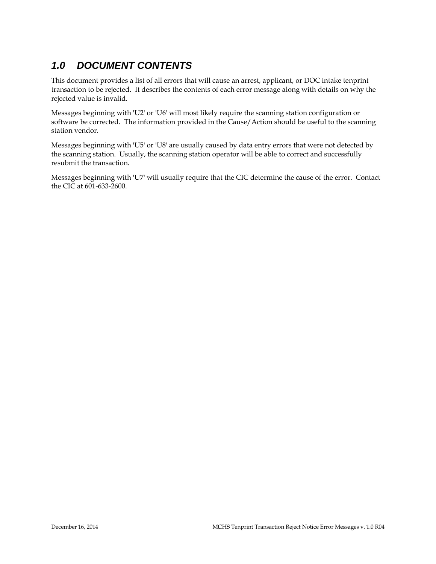### *1.0 DOCUMENT CONTENTS*

This document provides a list of all errors that will cause an arrest, applicant, or DOC intake tenprint transaction to be rejected. It describes the contents of each error message along with details on why the rejected value is invalid.

Messages beginning with 'U2' or 'U6' will most likely require the scanning station configuration or software be corrected. The information provided in the Cause/Action should be useful to the scanning station vendor.

Messages beginning with 'U5' or 'U8' are usually caused by data entry errors that were not detected by the scanning station. Usually, the scanning station operator will be able to correct and successfully resubmit the transaction.

Messages beginning with 'U7' will usually require that the CIC determine the cause of the error. Contact the CIC at 601-633-2600.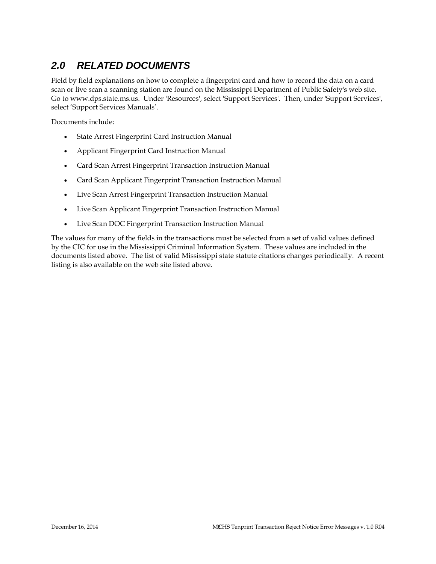### *2.0 RELATED DOCUMENTS*

Field by field explanations on how to complete a fingerprint card and how to record the data on a card scan or live scan a scanning station are found on the Mississippi Department of Public Safety's web site. Go to www.dps.state.ms.us. Under 'Resources', select 'Support Services'. Then, under 'Support Services', select 'Support Services Manuals'.

Documents include:

- State Arrest Fingerprint Card Instruction Manual
- Applicant Fingerprint Card Instruction Manual
- Card Scan Arrest Fingerprint Transaction Instruction Manual
- Card Scan Applicant Fingerprint Transaction Instruction Manual
- Live Scan Arrest Fingerprint Transaction Instruction Manual
- Live Scan Applicant Fingerprint Transaction Instruction Manual
- Live Scan DOC Fingerprint Transaction Instruction Manual

The values for many of the fields in the transactions must be selected from a set of valid values defined by the CIC for use in the Mississippi Criminal Information System. These values are included in the documents listed above. The list of valid Mississippi state statute citations changes periodically. A recent listing is also available on the web site listed above.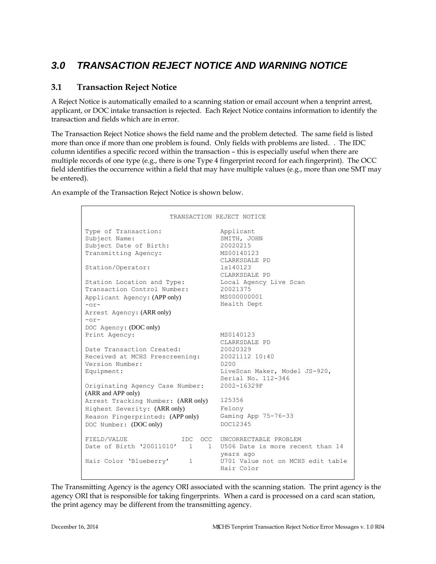### *3.0 TRANSACTION REJECT NOTICE AND WARNING NOTICE*

#### **3.1 Transaction Reject Notice**

A Reject Notice is automatically emailed to a scanning station or email account when a tenprint arrest, applicant, or DOC intake transaction is rejected. Each Reject Notice contains information to identify the transaction and fields which are in error.

The Transaction Reject Notice shows the field name and the problem detected. The same field is listed more than once if more than one problem is found. Only fields with problems are listed. . The IDC column identifies a specific record within the transaction – this is especially useful when there are multiple records of one type (e.g., there is one Type 4 fingerprint record for each fingerprint). The OCC field identifies the occurrence within a field that may have multiple values (e.g., more than one SMT may be entered).

An example of the Transaction Reject Notice is shown below.

```
TRANSACTION REJECT NOTICE
Type of Transaction: Applicant
Subject Name: SMITH, JOHN
Subject Date of Birth: 20020215<br>Transmitting Agency: MS00140123
Transmitting Agency:
                                   CLARKSDALE PD<br>1s140123
Station/Operator:
                                    CLARKSDALE PD
Station Location and Type:
Transaction Control Number:
Applicant Agency: (APP only)
-or-
Arrest Agency: (ARR only)
-0r-DOC Agency: (DOC only)
                                 CLARASDADD 12<br>Local Agency Live Scan<br>20021375<br>MS000000001
                                    Health Dept
Print Agency: MS0140123
                                   CLARKSDALE PD<br>20020329
Date Transaction Created:
Bate Hansaction Created: 20020329<br>Received at MCHS Prescreening: 20021112 10:40<br>Version Number: 0200
Version Number:
Equipment: LiveScan Maker, Model JS-920,
                                   Serial No. 112-346
Originating Agency Case Number:
2002-16329F
(ARR and APP only)
Arrest Tracking Number: (ARR only) 125356
Highest Severity: (ARR only) Felony
Reason Fingerprinted: (APP only) Gaming App 75-76-33<br>DOC Number: (DOC only) DOC12345
DOC Number: (DOC only)
FIELD/VALUE IDC OCC UNCORRECTABLE PROBLEM
Date of Birth '20011010' 1 1 U506 Date is more recent than 14
                                    years ago
Hair Color 'Blueberry' 1 1 U701 Value not on MCHS edit table
                                   Hair Color
```
The Transmitting Agency is the agency ORI associated with the scanning station. The print agency is the agency ORI that is responsible for taking fingerprints. When a card is processed on a card scan station, the print agency may be different from the transmitting agency.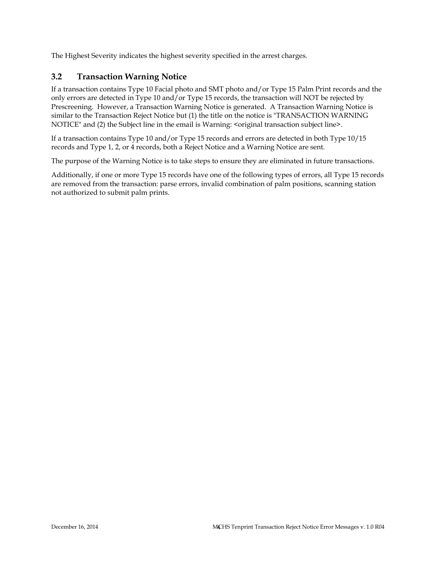The Highest Severity indicates the highest severity specified in the arrest charges.

#### **3.2 Transaction Warning Notice**

If a transaction contains Type 10 Facial photo and SMT photo and/or Type 15 Palm Print records and the only errors are detected in Type 10 and/or Type 15 records, the transaction will NOT be rejected by Prescreening. However, a Transaction Warning Notice is generated. A Transaction Warning Notice is similar to the Transaction Reject Notice but (1) the title on the notice is "TRANSACTION WARNING NOTICE" and (2) the Subject line in the email is Warning: <original transaction subject line>.

If a transaction contains Type 10 and/or Type 15 records and errors are detected in both Type 10/15 records and Type 1, 2, or 4 records, both a Reject Notice and a Warning Notice are sent.

The purpose of the Warning Notice is to take steps to ensure they are eliminated in future transactions.

Additionally, if one or more Type 15 records have one of the following types of errors, all Type 15 records are removed from the transaction: parse errors, invalid combination of palm positions, scanning station not authorized to submit palm prints.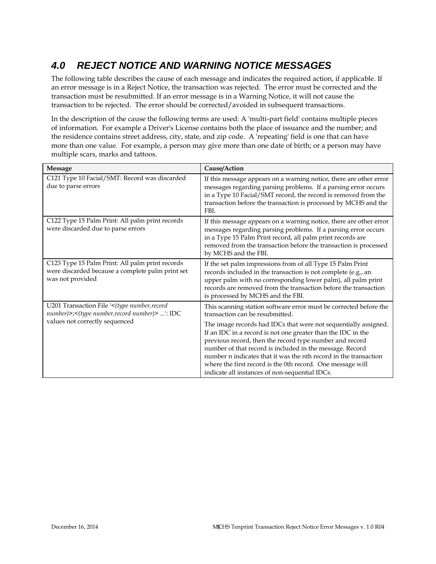## *4.0 REJECT NOTICE AND WARNING NOTICE MESSAGES*

The following table describes the cause of each message and indicates the required action, if applicable. If an error message is in a Reject Notice, the transaction was rejected. The error must be corrected and the transaction must be resubmitted. If an error message is in a Warning Notice, it will not cause the transaction to be rejected. The error should be corrected/avoided in subsequent transactions.

In the description of the cause the following terms are used: A 'multi-part field' contains multiple pieces of information. For example a Driver's License contains both the place of issuance and the number; and the residence contains street address, city, state, and zip code. A 'repeating' field is one that can have more than one value. For example, a person may give more than one date of birth; or a person may have multiple scars, marks and tattoos.

| <b>Message</b>                                                                                                          | Cause/Action                                                                                                                                                                                                                                                                                                                                                                                                                               |
|-------------------------------------------------------------------------------------------------------------------------|--------------------------------------------------------------------------------------------------------------------------------------------------------------------------------------------------------------------------------------------------------------------------------------------------------------------------------------------------------------------------------------------------------------------------------------------|
| C121 Type 10 Facial/SMT: Record was discarded<br>due to parse errors                                                    | If this message appears on a warning notice, there are other error<br>messages regarding parsing problems. If a parsing error occurs<br>in a Type 10 Facial/SMT record, the record is removed from the<br>transaction before the transaction is processed by MCHS and the<br>FBI.                                                                                                                                                          |
| C122 Type 15 Palm Print: All palm print records<br>were discarded due to parse errors                                   | If this message appears on a warning notice, there are other error<br>messages regarding parsing problems. If a parsing error occurs<br>in a Type 15 Palm Print record, all palm print records are<br>removed from the transaction before the transaction is processed<br>by MCHS and the FBI.                                                                                                                                             |
| C123 Type 15 Palm Print: All palm print records<br>were discarded because a complete palm print set<br>was not provided | If the set palm impressions from of all Type 15 Palm Print<br>records included in the transaction is not complete (e.g., an<br>upper palm with no corresponding lower palm), all palm print<br>records are removed from the transaction before the transaction<br>is processed by MCHS and the FBI.                                                                                                                                        |
| U201 Transaction File '<(type number, record<br>number)>;<(type number, record number)> ': IDC                          | This scanning station software error must be corrected before the<br>transaction can be resubmitted.                                                                                                                                                                                                                                                                                                                                       |
| values not correctly sequenced                                                                                          | The image records had IDCs that were not sequentially assigned.<br>If an IDC in a record is not one greater than the IDC in the<br>previous record, then the record type number and record<br>number of that record is included in the message. Record<br>number n indicates that it was the nth record in the transaction<br>where the first record is the 0th record. One message will<br>indicate all instances of non-sequential IDCs. |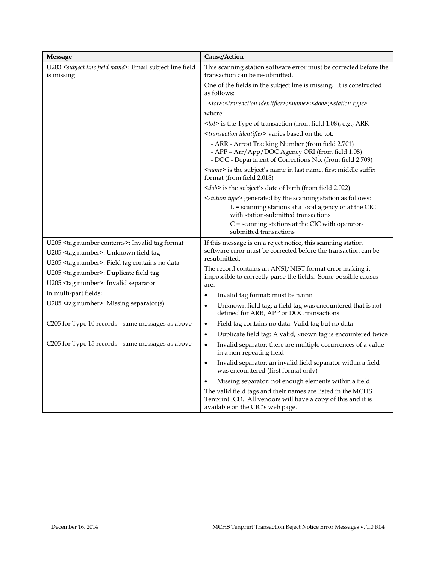| <b>Message</b>                                                                                                                                               | Cause/Action                                                                                                                                                                             |
|--------------------------------------------------------------------------------------------------------------------------------------------------------------|------------------------------------------------------------------------------------------------------------------------------------------------------------------------------------------|
| U203 <subject field="" line="" name="">: Email subject line field<br/>is missing</subject>                                                                   | This scanning station software error must be corrected before the<br>transaction can be resubmitted.                                                                                     |
|                                                                                                                                                              | One of the fields in the subject line is missing. It is constructed<br>as follows:                                                                                                       |
|                                                                                                                                                              | <tot>;<transaction identifier="">;<name>;<dob>;<station type=""></station></dob></name></transaction></tot>                                                                              |
|                                                                                                                                                              | where:                                                                                                                                                                                   |
|                                                                                                                                                              | <tot> is the Type of transaction (from field 1.08), e.g., ARR</tot>                                                                                                                      |
|                                                                                                                                                              | <transaction identifier=""> varies based on the tot:</transaction>                                                                                                                       |
|                                                                                                                                                              | - ARR - Arrest Tracking Number (from field 2.701)<br>- APP - Arr/App/DOC Agency ORI (from field 1.08)<br>- DOC - Department of Corrections No. (from field 2.709)                        |
|                                                                                                                                                              | <name> is the subject's name in last name, first middle suffix<br/>format (from field 2.018)</name>                                                                                      |
|                                                                                                                                                              | <dob> is the subject's date of birth (from field 2.022)</dob>                                                                                                                            |
|                                                                                                                                                              | <station type=""> generated by the scanning station as follows:<br/><math>L =</math> scanning stations at a local agency or at the CIC<br/>with station-submitted transactions</station> |
|                                                                                                                                                              | $C$ = scanning stations at the CIC with operator-<br>submitted transactions                                                                                                              |
| U205 <tag contents="" number="">: Invalid tag format<br/>U205 <tag number="">: Unknown field tag</tag></tag>                                                 | If this message is on a reject notice, this scanning station<br>software error must be corrected before the transaction can be<br>resubmitted.                                           |
| U205 <tag number="">: Field tag contains no data<br/>U205 <tag number="">: Duplicate field tag<br/>U205 <tag number="">: Invalid separator</tag></tag></tag> | The record contains an ANSI/NIST format error making it<br>impossible to correctly parse the fields. Some possible causes<br>are:                                                        |
| In multi-part fields:                                                                                                                                        | Invalid tag format: must be n.nnn<br>$\bullet$                                                                                                                                           |
| U205 <tag number="">: Missing separator(s)</tag>                                                                                                             | Unknown field tag: a field tag was encountered that is not<br>$\bullet$<br>defined for ARR, APP or DOC transactions                                                                      |
| C205 for Type 10 records - same messages as above                                                                                                            | Field tag contains no data: Valid tag but no data<br>$\bullet$                                                                                                                           |
|                                                                                                                                                              | Duplicate field tag: A valid, known tag is encountered twice<br>$\bullet$                                                                                                                |
| C205 for Type 15 records - same messages as above                                                                                                            | Invalid separator: there are multiple occurrences of a value<br>$\bullet$<br>in a non-repeating field                                                                                    |
|                                                                                                                                                              | Invalid separator: an invalid field separator within a field<br>$\bullet$<br>was encountered (first format only)                                                                         |
|                                                                                                                                                              | Missing separator: not enough elements within a field<br>$\bullet$                                                                                                                       |
|                                                                                                                                                              | The valid field tags and their names are listed in the MCHS<br>Tenprint ICD. All vendors will have a copy of this and it is<br>available on the CIC's web page.                          |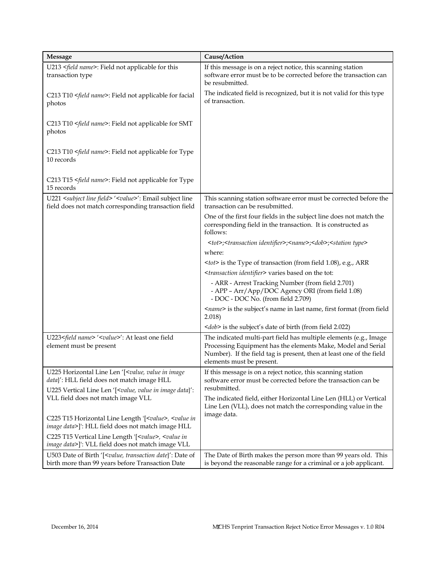| <b>Message</b>                                                                                                                           | Cause/Action                                                                                                                                                                                                                           |  |
|------------------------------------------------------------------------------------------------------------------------------------------|----------------------------------------------------------------------------------------------------------------------------------------------------------------------------------------------------------------------------------------|--|
| U213 <field name="">: Field not applicable for this<br/>transaction type</field>                                                         | If this message is on a reject notice, this scanning station<br>software error must be to be corrected before the transaction can<br>be resubmitted.                                                                                   |  |
| C213 T10 <field name="">: Field not applicable for facial<br/>photos</field>                                                             | The indicated field is recognized, but it is not valid for this type<br>of transaction.                                                                                                                                                |  |
| C213 T10 <field name="">: Field not applicable for SMT<br/>photos</field>                                                                |                                                                                                                                                                                                                                        |  |
| C213 T10 <field name="">: Field not applicable for Type<br/>10 records</field>                                                           |                                                                                                                                                                                                                                        |  |
| C213 T15 <field name="">: Field not applicable for Type<br/>15 records</field>                                                           |                                                                                                                                                                                                                                        |  |
| U221 <subject field="" line=""> '<value>': Email subject line<br/>field does not match corresponding transaction field</value></subject> | This scanning station software error must be corrected before the<br>transaction can be resubmitted.                                                                                                                                   |  |
|                                                                                                                                          | One of the first four fields in the subject line does not match the<br>corresponding field in the transaction. It is constructed as<br>follows:                                                                                        |  |
|                                                                                                                                          | <tot>;<transaction identifier="">;<name>;<dob>;<station type=""></station></dob></name></transaction></tot>                                                                                                                            |  |
|                                                                                                                                          | where:                                                                                                                                                                                                                                 |  |
|                                                                                                                                          | <tot> is the Type of transaction (from field 1.08), e.g., ARR</tot>                                                                                                                                                                    |  |
|                                                                                                                                          | <transaction identifier=""> varies based on the tot:</transaction>                                                                                                                                                                     |  |
|                                                                                                                                          | - ARR - Arrest Tracking Number (from field 2.701)<br>- APP - Arr/App/DOC Agency ORI (from field 1.08)<br>- DOC - DOC No. (from field 2.709)                                                                                            |  |
|                                                                                                                                          | <name> is the subject's name in last name, first format (from field<br/>2.018)</name>                                                                                                                                                  |  |
|                                                                                                                                          | <dob> is the subject's date of birth (from field 2.022)</dob>                                                                                                                                                                          |  |
| U223 <field name=""> '<value>': At least one field<br/>element must be present</value></field>                                           | The indicated multi-part field has multiple elements (e.g., Image<br>Processing Equipment has the elements Make, Model and Serial<br>Number). If the field tag is present, then at least one of the field<br>elements must be present. |  |
| U225 Horizontal Line Len '[ <value, image<br="" in="" value="">data}': HLL field does not match image HLL</value,>                       | If this message is on a reject notice, this scanning station<br>software error must be corrected before the transaction can be                                                                                                         |  |
| U225 Vertical Line Len '[ <value, data}':<br="" image="" in="" value="">VLL field does not match image VLL</value,>                      | resubmitted.<br>The indicated field, either Horizontal Line Len (HLL) or Vertical<br>Line Len (VLL), does not match the corresponding value in the<br>image data.                                                                      |  |
| C225 T15 Horizontal Line Length '[ <value>, <value in<br="">image data&gt;]': HLL field does not match image HLL</value></value>         |                                                                                                                                                                                                                                        |  |
| C225 T15 Vertical Line Length '[ <value>, <value in<br="">image data&gt;]': VLL field does not match image VLL</value></value>           |                                                                                                                                                                                                                                        |  |
| U503 Date of Birth '[ <value, date="" date}':="" of<br="" transaction="">birth more than 99 years before Transaction Date</value,>       | The Date of Birth makes the person more than 99 years old. This<br>is beyond the reasonable range for a criminal or a job applicant.                                                                                                   |  |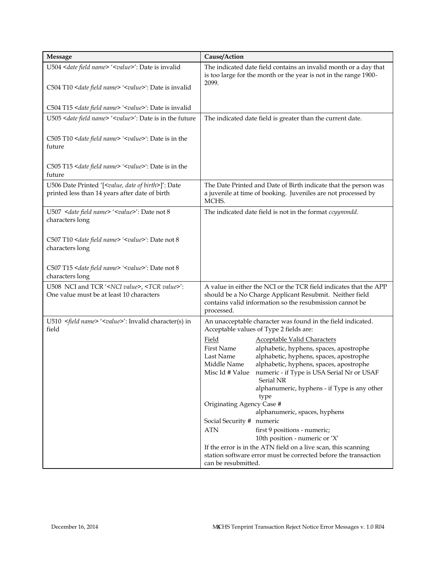| <b>Message</b>                                                                                                           | Cause/Action                                                                                                                                                                                                                                                                                                                                             |
|--------------------------------------------------------------------------------------------------------------------------|----------------------------------------------------------------------------------------------------------------------------------------------------------------------------------------------------------------------------------------------------------------------------------------------------------------------------------------------------------|
| U504 <date field="" name=""> '<value>': Date is invalid</value></date>                                                   | The indicated date field contains an invalid month or a day that<br>is too large for the month or the year is not in the range 1900-<br>2099.                                                                                                                                                                                                            |
| C504 T10 <date field="" name=""> '<value>': Date is invalid</value></date>                                               |                                                                                                                                                                                                                                                                                                                                                          |
| C504 T15 <date field="" name=""> '<value>': Date is invalid</value></date>                                               |                                                                                                                                                                                                                                                                                                                                                          |
| U505 <date field="" name=""> '<value>': Date is in the future</value></date>                                             | The indicated date field is greater than the current date.                                                                                                                                                                                                                                                                                               |
| C505 T10 <date field="" name=""> '<value>': Date is in the<br/>future</value></date>                                     |                                                                                                                                                                                                                                                                                                                                                          |
| C505 T15 <date field="" name=""> '<value>': Date is in the<br/>future</value></date>                                     |                                                                                                                                                                                                                                                                                                                                                          |
| U506 Date Printed '[ <value, birth="" date="" of="">]': Date<br/>printed less than 14 years after date of birth</value,> | The Date Printed and Date of Birth indicate that the person was<br>a juvenile at time of booking. Juveniles are not processed by<br>MCHS.                                                                                                                                                                                                                |
| U507 <date field="" name=""> '<value>': Date not 8<br/>characters long</value></date>                                    | The indicated date field is not in the format ccyymmdd.                                                                                                                                                                                                                                                                                                  |
| C507 T10 <date field="" name=""> '<value>': Date not 8<br/>characters long</value></date>                                |                                                                                                                                                                                                                                                                                                                                                          |
| C507 T15 <date field="" name=""> '<value>': Date not 8<br/>characters long</value></date>                                |                                                                                                                                                                                                                                                                                                                                                          |
| U508 NCI and TCR ' <nci value="">, <tcr value="">':<br/>One value must be at least 10 characters</tcr></nci>             | A value in either the NCI or the TCR field indicates that the APP<br>should be a No Charge Applicant Resubmit. Neither field<br>contains valid information so the resubmission cannot be<br>processed.                                                                                                                                                   |
| U510 <field name=""> '<value>': Invalid character(s) in<br/>field</value></field>                                        | An unacceptable character was found in the field indicated.<br>Acceptable values of Type 2 fields are:                                                                                                                                                                                                                                                   |
|                                                                                                                          | Field<br><b>Acceptable Valid Characters</b><br>alphabetic, hyphens, spaces, apostrophe<br>First Name<br>alphabetic, hyphens, spaces, apostrophe<br>Last Name<br>alphabetic, hyphens, spaces, apostrophe<br>Middle Name<br>Misc Id # Value numeric - if Type is USA Serial Nr or USAF<br><b>Serial NR</b><br>alphanumeric, hyphens - if Type is any other |
|                                                                                                                          | type<br>Originating Agency Case #                                                                                                                                                                                                                                                                                                                        |
|                                                                                                                          | alphanumeric, spaces, hyphens                                                                                                                                                                                                                                                                                                                            |
|                                                                                                                          | Social Security # numeric<br><b>ATN</b><br>first 9 positions - numeric;                                                                                                                                                                                                                                                                                  |
|                                                                                                                          | 10th position - numeric or 'X'                                                                                                                                                                                                                                                                                                                           |
|                                                                                                                          | If the error is in the ATN field on a live scan, this scanning                                                                                                                                                                                                                                                                                           |
|                                                                                                                          | station software error must be corrected before the transaction<br>can be resubmitted.                                                                                                                                                                                                                                                                   |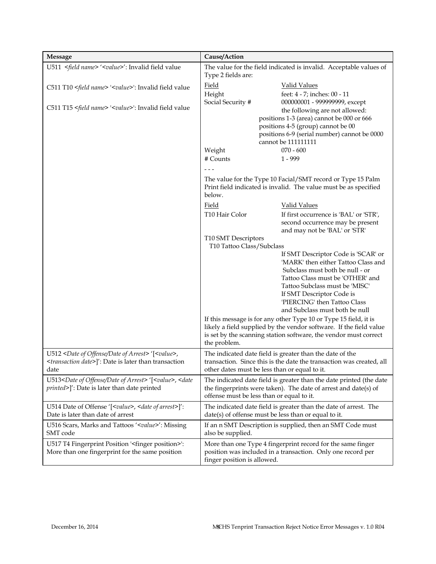| <b>Message</b>                                                                                                                                                                     | Cause/Action                                         |                                                                                                                                 |
|------------------------------------------------------------------------------------------------------------------------------------------------------------------------------------|------------------------------------------------------|---------------------------------------------------------------------------------------------------------------------------------|
| U511 <field name=""> '<value>': Invalid field value</value></field>                                                                                                                | Type 2 fields are:                                   | The value for the field indicated is invalid. Acceptable values of                                                              |
| C511 T10 <field name=""> '<value>': Invalid field value</value></field>                                                                                                            | Field                                                | <b>Valid Values</b>                                                                                                             |
|                                                                                                                                                                                    | Height                                               | feet: 4 - 7; inches: 00 - 11                                                                                                    |
| C511 T15 <field name=""> '<value>': Invalid field value</value></field>                                                                                                            | Social Security #                                    | 000000001 - 999999999, except                                                                                                   |
|                                                                                                                                                                                    |                                                      | the following are not allowed:                                                                                                  |
|                                                                                                                                                                                    |                                                      | positions 1-3 (area) cannot be 000 or 666<br>positions 4-5 (group) cannot be 00                                                 |
|                                                                                                                                                                                    |                                                      | positions 6-9 (serial number) cannot be 0000                                                                                    |
|                                                                                                                                                                                    |                                                      | cannot be 111111111                                                                                                             |
|                                                                                                                                                                                    | Weight                                               | $070 - 600$                                                                                                                     |
|                                                                                                                                                                                    | # Counts                                             | $1 - 999$                                                                                                                       |
|                                                                                                                                                                                    |                                                      |                                                                                                                                 |
|                                                                                                                                                                                    | below.                                               | The value for the Type 10 Facial/SMT record or Type 15 Palm<br>Print field indicated is invalid. The value must be as specified |
|                                                                                                                                                                                    | <b>Field</b>                                         | <b>Valid Values</b>                                                                                                             |
|                                                                                                                                                                                    | T10 Hair Color                                       | If first occurrence is 'BAL' or 'STR',                                                                                          |
|                                                                                                                                                                                    |                                                      | second occurrence may be present                                                                                                |
|                                                                                                                                                                                    |                                                      | and may not be 'BAL' or 'STR'                                                                                                   |
|                                                                                                                                                                                    | T10 SMT Descriptors<br>T10 Tattoo Class/Subclass     |                                                                                                                                 |
|                                                                                                                                                                                    |                                                      | If SMT Descriptor Code is 'SCAR' or                                                                                             |
|                                                                                                                                                                                    |                                                      | 'MARK' then either Tattoo Class and                                                                                             |
|                                                                                                                                                                                    |                                                      | Subclass must both be null - or                                                                                                 |
|                                                                                                                                                                                    |                                                      | Tattoo Class must be 'OTHER' and                                                                                                |
|                                                                                                                                                                                    |                                                      | Tattoo Subclass must be 'MISC'                                                                                                  |
|                                                                                                                                                                                    |                                                      | If SMT Descriptor Code is<br>'PIERCING' then Tattoo Class                                                                       |
|                                                                                                                                                                                    |                                                      | and Subclass must both be null                                                                                                  |
|                                                                                                                                                                                    |                                                      | If this message is for any other Type 10 or Type 15 field, it is                                                                |
|                                                                                                                                                                                    |                                                      | likely a field supplied by the vendor software. If the field value                                                              |
|                                                                                                                                                                                    |                                                      | is set by the scanning station software, the vendor must correct                                                                |
|                                                                                                                                                                                    | the problem.                                         |                                                                                                                                 |
| U512 <date arrest="" date="" of="" offense=""> '[<value>,</value></date>                                                                                                           |                                                      | The indicated date field is greater than the date of the                                                                        |
| <transaction date="">]': Date is later than transaction</transaction>                                                                                                              |                                                      | transaction. Since this is the date the transaction was created, all                                                            |
| date                                                                                                                                                                               | other dates must be less than or equal to it.        |                                                                                                                                 |
| U513 <date arrest="" date="" of="" offense="">'[<value>, <date< td=""><td></td><td>The indicated date field is greater than the date printed (the date</td></date<></value></date> |                                                      | The indicated date field is greater than the date printed (the date                                                             |
| printed>]': Date is later than date printed                                                                                                                                        | offense must be less than or equal to it.            | the fingerprints were taken). The date of arrest and date(s) of                                                                 |
| U514 Date of Offense '[ <value>, <date arrest="" of="">]':</date></value>                                                                                                          |                                                      |                                                                                                                                 |
| Date is later than date of arrest                                                                                                                                                  | date(s) of offense must be less than or equal to it. | The indicated date field is greater than the date of arrest. The                                                                |
| U516 Scars, Marks and Tattoos ' <value>': Missing<br/>SMT code</value>                                                                                                             | also be supplied.                                    | If an n SMT Description is supplied, then an SMT Code must                                                                      |
| U517 T4 Fingerprint Position ' <finger position="">':</finger>                                                                                                                     |                                                      | More than one Type 4 fingerprint record for the same finger                                                                     |
| More than one fingerprint for the same position                                                                                                                                    | finger position is allowed.                          | position was included in a transaction. Only one record per                                                                     |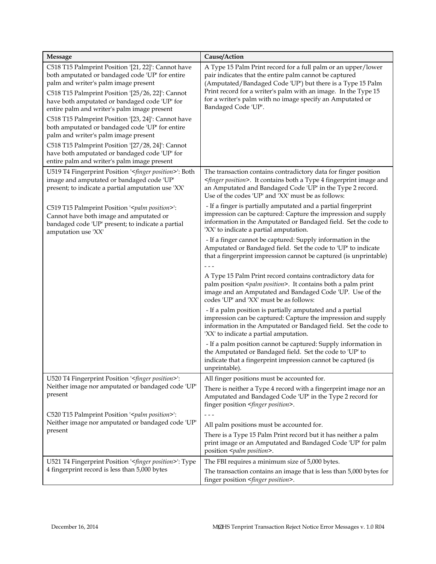| <b>Message</b>                                                                                                                                                                                                                                                                                                                                                                                                                                                                                                                                                                                             | Cause/Action                                                                                                                                                                                                                                                                                                                                |
|------------------------------------------------------------------------------------------------------------------------------------------------------------------------------------------------------------------------------------------------------------------------------------------------------------------------------------------------------------------------------------------------------------------------------------------------------------------------------------------------------------------------------------------------------------------------------------------------------------|---------------------------------------------------------------------------------------------------------------------------------------------------------------------------------------------------------------------------------------------------------------------------------------------------------------------------------------------|
| C518 T15 Palmprint Position '[21, 22]': Cannot have<br>both amputated or bandaged code 'UP' for entire<br>palm and writer's palm image present<br>C518 T15 Palmprint Position '[25/26, 22]': Cannot<br>have both amputated or bandaged code 'UP' for<br>entire palm and writer's palm image present<br>C518 T15 Palmprint Position '[23, 24]': Cannot have<br>both amputated or bandaged code 'UP' for entire<br>palm and writer's palm image present<br>C518 T15 Palmprint Position '[27/28, 24]': Cannot<br>have both amputated or bandaged code 'UP' for<br>entire palm and writer's palm image present | A Type 15 Palm Print record for a full palm or an upper/lower<br>pair indicates that the entire palm cannot be captured<br>(Amputated/Bandaged Code 'UP') but there is a Type 15 Palm<br>Print record for a writer's palm with an image. In the Type 15<br>for a writer's palm with no image specify an Amputated or<br>Bandaged Code 'UP'. |
| U519 T4 Fingerprint Position ' <finger position="">': Both<br/>image and amputated or bandaged code 'UP'<br/>present; to indicate a partial amputation use 'XX'</finger>                                                                                                                                                                                                                                                                                                                                                                                                                                   | The transaction contains contradictory data for finger position<br><finger position="">. It contains both a Type 4 fingerprint image and<br/>an Amputated and Bandaged Code 'UP' in the Type 2 record.<br/>Use of the codes 'UP' and 'XX' must be as follows:</finger>                                                                      |
| C519 T15 Palmprint Position ' <palm position="">':<br/>Cannot have both image and amputated or<br/>bandaged code 'UP' present; to indicate a partial<br/>amputation use 'XX'</palm>                                                                                                                                                                                                                                                                                                                                                                                                                        | - If a finger is partially amputated and a partial fingerprint<br>impression can be captured: Capture the impression and supply<br>information in the Amputated or Bandaged field. Set the code to<br>'XX' to indicate a partial amputation.                                                                                                |
|                                                                                                                                                                                                                                                                                                                                                                                                                                                                                                                                                                                                            | - If a finger cannot be captured: Supply information in the<br>Amputated or Bandaged field. Set the code to 'UP' to indicate<br>that a fingerprint impression cannot be captured (is unprintable)                                                                                                                                           |
|                                                                                                                                                                                                                                                                                                                                                                                                                                                                                                                                                                                                            | A Type 15 Palm Print record contains contradictory data for<br>palm position <palm position="">. It contains both a palm print<br/>image and an Amputated and Bandaged Code 'UP. Use of the<br/>codes 'UP' and 'XX' must be as follows:</palm>                                                                                              |
|                                                                                                                                                                                                                                                                                                                                                                                                                                                                                                                                                                                                            | - If a palm position is partially amputated and a partial<br>impression can be captured: Capture the impression and supply<br>information in the Amputated or Bandaged field. Set the code to<br>'XX' to indicate a partial amputation.                                                                                                     |
|                                                                                                                                                                                                                                                                                                                                                                                                                                                                                                                                                                                                            | - If a palm position cannot be captured: Supply information in<br>the Amputated or Bandaged field. Set the code to 'UP' to<br>indicate that a fingerprint impression cannot be captured (is<br>unprintable).                                                                                                                                |
| U520 T4 Fingerprint Position ' <finger position="">':</finger>                                                                                                                                                                                                                                                                                                                                                                                                                                                                                                                                             | All finger positions must be accounted for.                                                                                                                                                                                                                                                                                                 |
| Neither image nor amputated or bandaged code 'UP'<br>present                                                                                                                                                                                                                                                                                                                                                                                                                                                                                                                                               | There is neither a Type 4 record with a fingerprint image nor an<br>Amputated and Bandaged Code 'UP' in the Type 2 record for<br>finger position <finger position="">.</finger>                                                                                                                                                             |
| C520 T15 Palmprint Position '< <i>palm position</i> >':<br>Neither image nor amputated or bandaged code 'UP'                                                                                                                                                                                                                                                                                                                                                                                                                                                                                               | $- - -$                                                                                                                                                                                                                                                                                                                                     |
|                                                                                                                                                                                                                                                                                                                                                                                                                                                                                                                                                                                                            | All palm positions must be accounted for.                                                                                                                                                                                                                                                                                                   |
| present                                                                                                                                                                                                                                                                                                                                                                                                                                                                                                                                                                                                    | There is a Type 15 Palm Print record but it has neither a palm<br>print image or an Amputated and Bandaged Code 'UP' for palm<br>position <palm position="">.</palm>                                                                                                                                                                        |
| U521 T4 Fingerprint Position ' <finger position="">': Type</finger>                                                                                                                                                                                                                                                                                                                                                                                                                                                                                                                                        | The FBI requires a minimum size of 5,000 bytes.                                                                                                                                                                                                                                                                                             |
| 4 fingerprint record is less than 5,000 bytes                                                                                                                                                                                                                                                                                                                                                                                                                                                                                                                                                              | The transaction contains an image that is less than 5,000 bytes for<br>finger position <finger position="">.</finger>                                                                                                                                                                                                                       |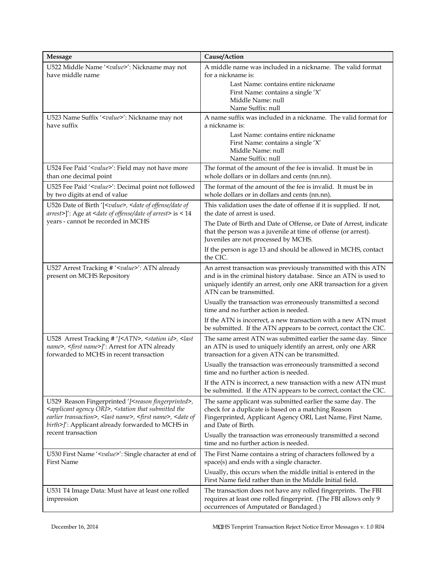| <b>Message</b>                                                                                                                                                                                                                                                                                                      | Cause/Action                                                                                                                                                                                                                       |
|---------------------------------------------------------------------------------------------------------------------------------------------------------------------------------------------------------------------------------------------------------------------------------------------------------------------|------------------------------------------------------------------------------------------------------------------------------------------------------------------------------------------------------------------------------------|
| U522 Middle Name ' <value>': Nickname may not<br/>have middle name</value>                                                                                                                                                                                                                                          | A middle name was included in a nickname. The valid format<br>for a nickname is:<br>Last Name: contains entire nickname<br>First Name: contains a single 'X'<br>Middle Name: null                                                  |
| U523 Name Suffix ' <value>': Nickname may not<br/>have suffix</value>                                                                                                                                                                                                                                               | Name Suffix: null<br>A name suffix was included in a nickname. The valid format for<br>a nickname is:<br>Last Name: contains entire nickname                                                                                       |
|                                                                                                                                                                                                                                                                                                                     | First Name: contains a single 'X'<br>Middle Name: null<br>Name Suffix: null                                                                                                                                                        |
| U524 Fee Paid ' <value>': Field may not have more<br/>than one decimal point</value>                                                                                                                                                                                                                                | The format of the amount of the fee is invalid. It must be in<br>whole dollars or in dollars and cents (nn.nn).                                                                                                                    |
| U525 Fee Paid ' <value>': Decimal point not followed<br/>by two digits at end of value</value>                                                                                                                                                                                                                      | The format of the amount of the fee is invalid. It must be in<br>whole dollars or in dollars and cents (nn.nn).                                                                                                                    |
| U526 Date of Birth '[ <value>, <date date="" of="" of<br="" offense="">arrest&gt;]': Age at <date arrest="" date="" of="" offense=""> is &lt; 14</date></date></value>                                                                                                                                              | This validation uses the date of offense if it is supplied. If not,<br>the date of arrest is used.                                                                                                                                 |
| years - cannot be recorded in MCHS                                                                                                                                                                                                                                                                                  | The Date of Birth and Date of Offense, or Date of Arrest, indicate<br>that the person was a juvenile at time of offense (or arrest).<br>Juveniles are not processed by MCHS.                                                       |
|                                                                                                                                                                                                                                                                                                                     | If the person is age 13 and should be allowed in MCHS, contact<br>the CIC.                                                                                                                                                         |
| U527 Arrest Tracking # ' <value>': ATN already<br/>present on MCHS Repository</value>                                                                                                                                                                                                                               | An arrest transaction was previously transmitted with this ATN<br>and is in the criminal history database. Since an ATN is used to<br>uniquely identify an arrest, only one ARR transaction for a given<br>ATN can be transmitted. |
|                                                                                                                                                                                                                                                                                                                     | Usually the transaction was erroneously transmitted a second<br>time and no further action is needed.                                                                                                                              |
|                                                                                                                                                                                                                                                                                                                     | If the ATN is incorrect, a new transaction with a new ATN must<br>be submitted. If the ATN appears to be correct, contact the CIC.                                                                                                 |
| U528 Arrest Tracking # '[ <atn>, <station id="">, <last<br>name&gt;, <first name="">]': Arrest for ATN already<br/>forwarded to MCHS in recent transaction</first></last<br></station></atn>                                                                                                                        | The same arrest ATN was submitted earlier the same day. Since<br>an ATN is used to uniquely identify an arrest, only one ARR<br>transaction for a given ATN can be transmitted.                                                    |
|                                                                                                                                                                                                                                                                                                                     | Usually the transaction was erroneously transmitted a second<br>time and no further action is needed.                                                                                                                              |
|                                                                                                                                                                                                                                                                                                                     | If the ATN is incorrect, a new transaction with a new ATN must<br>be submitted. If the ATN appears to be correct, contact the CIC.                                                                                                 |
| U529 Reason Fingerprinted '[ <reason fingerprinted="">,<br/><applicant agency="" ori="">, <station submitted="" that="" the<br="">earlier transaction&gt;, <last name="">, <first name="">, <date of<br="">birth&gt;]': Applicant already forwarded to MCHS in</date></first></last></station></applicant></reason> | The same applicant was submitted earlier the same day. The<br>check for a duplicate is based on a matching Reason<br>Fingerprinted, Applicant Agency ORI, Last Name, First Name,<br>and Date of Birth.                             |
| recent transaction                                                                                                                                                                                                                                                                                                  | Usually the transaction was erroneously transmitted a second<br>time and no further action is needed.                                                                                                                              |
| U530 First Name ' <value>': Single character at end of<br/>First Name</value>                                                                                                                                                                                                                                       | The First Name contains a string of characters followed by a<br>space(s) and ends with a single character.                                                                                                                         |
|                                                                                                                                                                                                                                                                                                                     | Usually, this occurs when the middle initial is entered in the<br>First Name field rather than in the Middle Initial field.                                                                                                        |
| U531 T4 Image Data: Must have at least one rolled<br>impression                                                                                                                                                                                                                                                     | The transaction does not have any rolled fingerprints. The FBI<br>requires at least one rolled fingerprint. (The FBI allows only 9<br>occurrences of Amputated or Bandaged.)                                                       |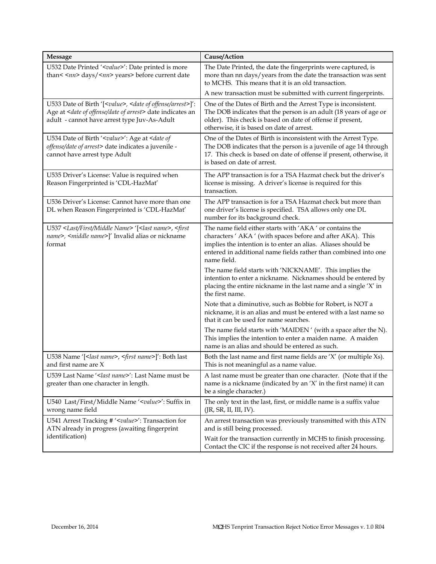| <b>Message</b>                                                                                                                                                                                                    | Cause/Action                                                                                                                                                                                                                                                              |
|-------------------------------------------------------------------------------------------------------------------------------------------------------------------------------------------------------------------|---------------------------------------------------------------------------------------------------------------------------------------------------------------------------------------------------------------------------------------------------------------------------|
| U532 Date Printed ' <value>': Date printed is more<br/>than&lt;<nn> days/<nn> years&gt; before current date</nn></nn></value>                                                                                     | The Date Printed, the date the fingerprints were captured, is<br>more than nn days/years from the date the transaction was sent<br>to MCHS. This means that it is an old transaction.                                                                                     |
|                                                                                                                                                                                                                   | A new transaction must be submitted with current fingerprints.                                                                                                                                                                                                            |
| U533 Date of Birth '[ <value>, <date arrest="" of="" offense="">]':<br/>Age at <date arrest="" date="" of="" offense=""> date indicates an<br/>adult - cannot have arrest type Juv-As-Adult</date></date></value> | One of the Dates of Birth and the Arrest Type is inconsistent.<br>The DOB indicates that the person is an adult (18 years of age or<br>older). This check is based on date of offense if present,<br>otherwise, it is based on date of arrest.                            |
| U534 Date of Birth ' <value>': Age at <date of<br="">offense/date of arrest&gt; date indicates a juvenile -<br/>cannot have arrest type Adult</date></value>                                                      | One of the Dates of Birth is inconsistent with the Arrest Type.<br>The DOB indicates that the person is a juvenile of age 14 through<br>17. This check is based on date of offense if present, otherwise, it<br>is based on date of arrest.                               |
| U535 Driver's License: Value is required when<br>Reason Fingerprinted is 'CDL-HazMat'                                                                                                                             | The APP transaction is for a TSA Hazmat check but the driver's<br>license is missing. A driver's license is required for this<br>transaction.                                                                                                                             |
| U536 Driver's License: Cannot have more than one<br>DL when Reason Fingerprinted is 'CDL-HazMat'                                                                                                                  | The APP transaction is for a TSA Hazmat check but more than<br>one driver's license is specified. TSA allows only one DL<br>number for its background check.                                                                                                              |
| U537 <last first="" middle="" name=""> '[<last name="">, <first<br>name&gt;, <middle name="">]' Invalid alias or nickname<br/>format</middle></first<br></last></last>                                            | The name field either starts with 'AKA' or contains the<br>characters ' AKA ' (with spaces before and after AKA). This<br>implies the intention is to enter an alias. Aliases should be<br>entered in additional name fields rather than combined into one<br>name field. |
|                                                                                                                                                                                                                   | The name field starts with 'NICKNAME'. This implies the<br>intention to enter a nickname. Nicknames should be entered by<br>placing the entire nickname in the last name and a single 'X' in<br>the first name.                                                           |
|                                                                                                                                                                                                                   | Note that a diminutive, such as Bobbie for Robert, is NOT a<br>nickname, it is an alias and must be entered with a last name so<br>that it can be used for name searches.                                                                                                 |
|                                                                                                                                                                                                                   | The name field starts with 'MAIDEN' (with a space after the N).<br>This implies the intention to enter a maiden name. A maiden<br>name is an alias and should be entered as such.                                                                                         |
| U538 Name '[ <last name="">, <first name="">]': Both last<br/>and first name are X</first></last>                                                                                                                 | Both the last name and first name fields are 'X' (or multiple Xs).<br>This is not meaningful as a name value.                                                                                                                                                             |
| U539 Last Name '< last name>': Last Name must be<br>greater than one character in length.                                                                                                                         | A last name must be greater than one character. (Note that if the<br>name is a nickname (indicated by an 'X' in the first name) it can<br>be a single character.)                                                                                                         |
| U540 Last/First/Middle Name ' <value>': Suffix in<br/>wrong name field</value>                                                                                                                                    | The only text in the last, first, or middle name is a suffix value<br>(JR, SR, II, III, IV).                                                                                                                                                                              |
| U541 Arrest Tracking # ' <value>': Transaction for<br/>ATN already in progress (awaiting fingerprint</value>                                                                                                      | An arrest transaction was previously transmitted with this ATN<br>and is still being processed.                                                                                                                                                                           |
| identification)                                                                                                                                                                                                   | Wait for the transaction currently in MCHS to finish processing.<br>Contact the CIC if the response is not received after 24 hours.                                                                                                                                       |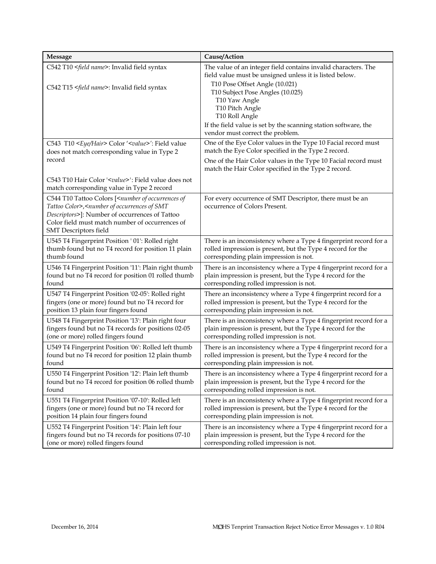| <b>Message</b>                                                                                                                                                                                                                                                                  | Cause/Action                                                                                                                                                                                                                                                                                                             |
|---------------------------------------------------------------------------------------------------------------------------------------------------------------------------------------------------------------------------------------------------------------------------------|--------------------------------------------------------------------------------------------------------------------------------------------------------------------------------------------------------------------------------------------------------------------------------------------------------------------------|
| C542 T10 <field name="">: Invalid field syntax<br/>C542 T15 <field name="">: Invalid field syntax</field></field>                                                                                                                                                               | The value of an integer field contains invalid characters. The<br>field value must be unsigned unless it is listed below.<br>T10 Pose Offset Angle (10.021)<br>T10 Subject Pose Angles (10.025)<br>T10 Yaw Angle<br>T10 Pitch Angle<br>T10 Roll Angle<br>If the field value is set by the scanning station software, the |
|                                                                                                                                                                                                                                                                                 | vendor must correct the problem.                                                                                                                                                                                                                                                                                         |
| C543 T10 <eye hair=""> Color '<value>': Field value<br/>does not match corresponding value in Type 2<br/>record</value></eye>                                                                                                                                                   | One of the Eye Color values in the Type 10 Facial record must<br>match the Eye Color specified in the Type 2 record.<br>One of the Hair Color values in the Type 10 Facial record must<br>match the Hair Color specified in the Type 2 record.                                                                           |
| C543 T10 Hair Color ' <value>': Field value does not<br/>match corresponding value in Type 2 record</value>                                                                                                                                                                     |                                                                                                                                                                                                                                                                                                                          |
| C544 T10 Tattoo Colors [ <number occurrences="" of="" of<br="">Tattoo Color&gt;,<number occurrences="" of="" smt<br="">Descriptors&gt;]: Number of occurrences of Tattoo<br/>Color field must match number of occurrences of<br/><b>SMT</b> Descriptors field</number></number> | For every occurrence of SMT Descriptor, there must be an<br>occurrence of Colors Present.                                                                                                                                                                                                                                |
| U545 T4 Fingerprint Position ' 01': Rolled right                                                                                                                                                                                                                                | There is an inconsistency where a Type 4 fingerprint record for a                                                                                                                                                                                                                                                        |
| thumb found but no T4 record for position 11 plain                                                                                                                                                                                                                              | rolled impression is present, but the Type 4 record for the                                                                                                                                                                                                                                                              |
| thumb found                                                                                                                                                                                                                                                                     | corresponding plain impression is not.                                                                                                                                                                                                                                                                                   |
| U546 T4 Fingerprint Position '11': Plain right thumb                                                                                                                                                                                                                            | There is an inconsistency where a Type 4 fingerprint record for a                                                                                                                                                                                                                                                        |
| found but no T4 record for position 01 rolled thumb                                                                                                                                                                                                                             | plain impression is present, but the Type 4 record for the                                                                                                                                                                                                                                                               |
| found                                                                                                                                                                                                                                                                           | corresponding rolled impression is not.                                                                                                                                                                                                                                                                                  |
| U547 T4 Fingerprint Position '02-05': Rolled right                                                                                                                                                                                                                              | There an inconsistency where a Type 4 fingerprint record for a                                                                                                                                                                                                                                                           |
| fingers (one or more) found but no T4 record for                                                                                                                                                                                                                                | rolled impression is present, but the Type 4 record for the                                                                                                                                                                                                                                                              |
| position 13 plain four fingers found                                                                                                                                                                                                                                            | corresponding plain impression is not.                                                                                                                                                                                                                                                                                   |
| U548 T4 Fingerprint Position '13': Plain right four                                                                                                                                                                                                                             | There is an inconsistency where a Type 4 fingerprint record for a                                                                                                                                                                                                                                                        |
| fingers found but no T4 records for positions 02-05                                                                                                                                                                                                                             | plain impression is present, but the Type 4 record for the                                                                                                                                                                                                                                                               |
| (one or more) rolled fingers found                                                                                                                                                                                                                                              | corresponding rolled impression is not.                                                                                                                                                                                                                                                                                  |
| U549 T4 Fingerprint Position '06': Rolled left thumb                                                                                                                                                                                                                            | There is an inconsistency where a Type 4 fingerprint record for a                                                                                                                                                                                                                                                        |
| found but no T4 record for position 12 plain thumb                                                                                                                                                                                                                              | rolled impression is present, but the Type 4 record for the                                                                                                                                                                                                                                                              |
| found                                                                                                                                                                                                                                                                           | corresponding plain impression is not.                                                                                                                                                                                                                                                                                   |
| U550 T4 Fingerprint Position '12': Plain left thumb                                                                                                                                                                                                                             | There is an inconsistency where a Type 4 fingerprint record for a                                                                                                                                                                                                                                                        |
| found but no T4 record for position 06 rolled thumb                                                                                                                                                                                                                             | plain impression is present, but the Type 4 record for the                                                                                                                                                                                                                                                               |
| found                                                                                                                                                                                                                                                                           | corresponding rolled impression is not.                                                                                                                                                                                                                                                                                  |
| U551 T4 Fingerprint Position '07-10': Rolled left                                                                                                                                                                                                                               | There is an inconsistency where a Type 4 fingerprint record for a                                                                                                                                                                                                                                                        |
| fingers (one or more) found but no T4 record for                                                                                                                                                                                                                                | rolled impression is present, but the Type 4 record for the                                                                                                                                                                                                                                                              |
| position 14 plain four fingers found                                                                                                                                                                                                                                            | corresponding plain impression is not.                                                                                                                                                                                                                                                                                   |
| U552 T4 Fingerprint Position '14': Plain left four                                                                                                                                                                                                                              | There is an inconsistency where a Type 4 fingerprint record for a                                                                                                                                                                                                                                                        |
| fingers found but no T4 records for positions 07-10                                                                                                                                                                                                                             | plain impression is present, but the Type 4 record for the                                                                                                                                                                                                                                                               |
| (one or more) rolled fingers found                                                                                                                                                                                                                                              | corresponding rolled impression is not.                                                                                                                                                                                                                                                                                  |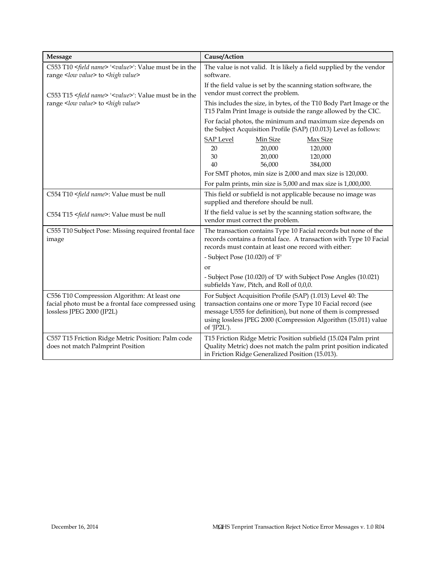| <b>Message</b>                                                                                                                    | Cause/Action                                                                                                                                                                                                                                                                |
|-----------------------------------------------------------------------------------------------------------------------------------|-----------------------------------------------------------------------------------------------------------------------------------------------------------------------------------------------------------------------------------------------------------------------------|
| C553 T10 <field name=""> '<value>': Value must be in the<br/>range <low value=""> to <high value=""></high></low></value></field> | The value is not valid. It is likely a field supplied by the vendor<br>software.                                                                                                                                                                                            |
| C553 T15 <field name=""> '<value>': Value must be in the</value></field>                                                          | If the field value is set by the scanning station software, the<br>vendor must correct the problem.                                                                                                                                                                         |
| range <low value=""> to <high value=""></high></low>                                                                              | This includes the size, in bytes, of the T10 Body Part Image or the<br>T15 Palm Print Image is outside the range allowed by the CIC.                                                                                                                                        |
|                                                                                                                                   | For facial photos, the minimum and maximum size depends on<br>the Subject Acquisition Profile (SAP) (10.013) Level as follows:                                                                                                                                              |
|                                                                                                                                   | <b>SAP Level</b><br>Min Size<br>Max Size<br>20,000<br>120,000<br>20<br>30<br>20,000<br>120,000<br>56,000<br>384,000<br>40                                                                                                                                                   |
|                                                                                                                                   | For SMT photos, min size is 2,000 and max size is 120,000.<br>For palm prints, min size is 5,000 and max size is 1,000,000.                                                                                                                                                 |
| C554 T10 <field name="">: Value must be null</field>                                                                              | This field or subfield is not applicable because no image was<br>supplied and therefore should be null.                                                                                                                                                                     |
| C554 T15 <field name="">: Value must be null</field>                                                                              | If the field value is set by the scanning station software, the<br>vendor must correct the problem.                                                                                                                                                                         |
| C555 T10 Subject Pose: Missing required frontal face<br>image                                                                     | The transaction contains Type 10 Facial records but none of the<br>records contains a frontal face. A transaction with Type 10 Facial<br>records must contain at least one record with either:                                                                              |
|                                                                                                                                   | - Subject Pose (10.020) of 'F'                                                                                                                                                                                                                                              |
|                                                                                                                                   | <sub>or</sub>                                                                                                                                                                                                                                                               |
|                                                                                                                                   | - Subject Pose (10.020) of 'D' with Subject Pose Angles (10.021)<br>subfields Yaw, Pitch, and Roll of 0,0,0.                                                                                                                                                                |
| C556 T10 Compression Algorithm: At least one<br>facial photo must be a frontal face compressed using<br>lossless JPEG 2000 (JP2L) | For Subject Acquisition Profile (SAP) (1.013) Level 40: The<br>transaction contains one or more Type 10 Facial record (see<br>message U555 for definition), but none of them is compressed<br>using lossless JPEG 2000 (Compression Algorithm (15.011) value<br>of 'JP2L'). |
| C557 T15 Friction Ridge Metric Position: Palm code<br>does not match Palmprint Position                                           | T15 Friction Ridge Metric Position subfield (15.024 Palm print<br>Quality Metric) does not match the palm print position indicated<br>in Friction Ridge Generalized Position (15.013).                                                                                      |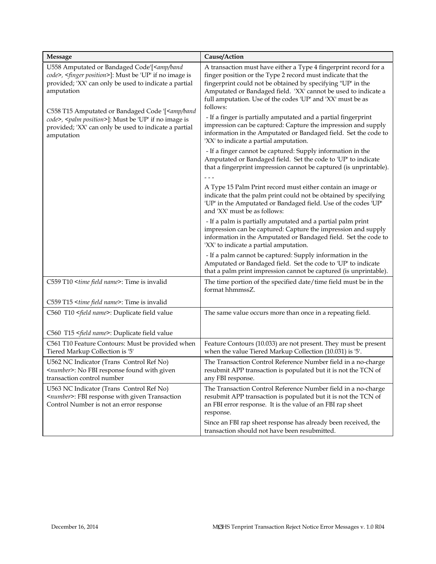| <b>Message</b>                                                                                                                                                                                                                                                  | Cause/Action                                                                                                                                                                                                                                                                                                                                                                                                 |
|-----------------------------------------------------------------------------------------------------------------------------------------------------------------------------------------------------------------------------------------------------------------|--------------------------------------------------------------------------------------------------------------------------------------------------------------------------------------------------------------------------------------------------------------------------------------------------------------------------------------------------------------------------------------------------------------|
| U558 Amputated or Bandaged Code'[ <amp band<br="">code&gt;, <finger position="">]: Must be 'UP' if no image is<br/>provided; 'XX' can only be used to indicate a partial<br/>amputation<br/>C558 T15 Amputated or Bandaged Code '[ &lt; amp/band</finger></amp> | A transaction must have either a Type 4 fingerprint record for a<br>finger position or the Type 2 record must indicate that the<br>fingerprint could not be obtained by specifying "UP' in the<br>Amputated or Bandaged field. 'XX' cannot be used to indicate a<br>full amputation. Use of the codes 'UP' and 'XX' must be as<br>follows:<br>- If a finger is partially amputated and a partial fingerprint |
| code>, <palm position="">]: Must be 'UP' if no image is<br/>provided; 'XX' can only be used to indicate a partial<br/>amputation</palm>                                                                                                                         | impression can be captured: Capture the impression and supply<br>information in the Amputated or Bandaged field. Set the code to<br>'XX' to indicate a partial amputation.                                                                                                                                                                                                                                   |
|                                                                                                                                                                                                                                                                 | - If a finger cannot be captured: Supply information in the<br>Amputated or Bandaged field. Set the code to 'UP' to indicate<br>that a fingerprint impression cannot be captured (is unprintable).                                                                                                                                                                                                           |
|                                                                                                                                                                                                                                                                 |                                                                                                                                                                                                                                                                                                                                                                                                              |
|                                                                                                                                                                                                                                                                 | A Type 15 Palm Print record must either contain an image or<br>indicate that the palm print could not be obtained by specifying<br>'UP' in the Amputated or Bandaged field. Use of the codes 'UP'<br>and 'XX' must be as follows:                                                                                                                                                                            |
|                                                                                                                                                                                                                                                                 | - If a palm is partially amputated and a partial palm print<br>impression can be captured: Capture the impression and supply<br>information in the Amputated or Bandaged field. Set the code to<br>'XX' to indicate a partial amputation.                                                                                                                                                                    |
|                                                                                                                                                                                                                                                                 | - If a palm cannot be captured: Supply information in the<br>Amputated or Bandaged field. Set the code to 'UP' to indicate<br>that a palm print impression cannot be captured (is unprintable).                                                                                                                                                                                                              |
| C559 T10 <time field="" name="">: Time is invalid</time>                                                                                                                                                                                                        | The time portion of the specified date/time field must be in the<br>format hhmmssZ.                                                                                                                                                                                                                                                                                                                          |
| C559 T15 <time field="" name="">: Time is invalid</time>                                                                                                                                                                                                        |                                                                                                                                                                                                                                                                                                                                                                                                              |
| C560 T10 <field name="">: Duplicate field value</field>                                                                                                                                                                                                         | The same value occurs more than once in a repeating field.                                                                                                                                                                                                                                                                                                                                                   |
| C560 T15 <field name="">: Duplicate field value</field>                                                                                                                                                                                                         |                                                                                                                                                                                                                                                                                                                                                                                                              |
| C561 T10 Feature Contours: Must be provided when<br>Tiered Markup Collection is '5'                                                                                                                                                                             | Feature Contours (10.033) are not present. They must be present<br>when the value Tiered Markup Collection (10.031) is '5'.                                                                                                                                                                                                                                                                                  |
| U562 NC Indicator (Trans Control Ref No)<br><number>: No FBI response found with given<br/>transaction control number</number>                                                                                                                                  | The Transaction Control Reference Number field in a no-charge<br>resubmit APP transaction is populated but it is not the TCN of<br>any FBI response.                                                                                                                                                                                                                                                         |
| U563 NC Indicator (Trans Control Ref No)<br><number>: FBI response with given Transaction<br/>Control Number is not an error response</number>                                                                                                                  | The Transaction Control Reference Number field in a no-charge<br>resubmit APP transaction is populated but it is not the TCN of<br>an FBI error response. It is the value of an FBI rap sheet<br>response.                                                                                                                                                                                                   |
|                                                                                                                                                                                                                                                                 | Since an FBI rap sheet response has already been received, the<br>transaction should not have been resubmitted.                                                                                                                                                                                                                                                                                              |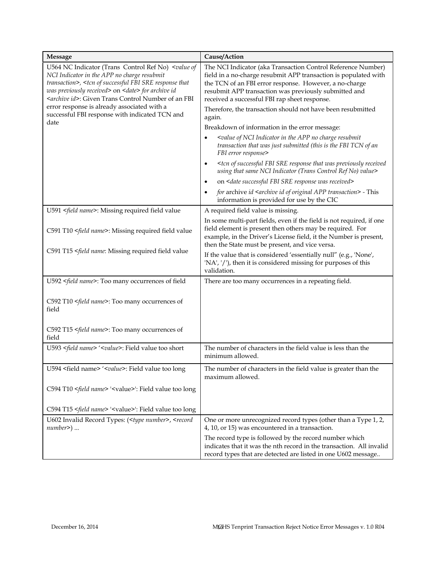| <b>Message</b>                                                                                                                                                                                                                                                                                                                        | Cause/Action                                                                                                                                                                                                                                                                                        |
|---------------------------------------------------------------------------------------------------------------------------------------------------------------------------------------------------------------------------------------------------------------------------------------------------------------------------------------|-----------------------------------------------------------------------------------------------------------------------------------------------------------------------------------------------------------------------------------------------------------------------------------------------------|
| U564 NC Indicator (Trans Control Ref No) <value of<br="">NCI Indicator in the APP no charge resubmit<br/>transaction&gt;, <tcn fbi="" of="" response="" sre="" successful="" that<br="">was previously received&gt; on <date> for archive id<br/><archive id="">: Given Trans Control Number of an FBI</archive></date></tcn></value> | The NCI Indicator (aka Transaction Control Reference Number)<br>field in a no-charge resubmit APP transaction is populated with<br>the TCN of an FBI error response. However, a no-charge<br>resubmit APP transaction was previously submitted and<br>received a successful FBI rap sheet response. |
| error response is already associated with a<br>successful FBI response with indicated TCN and                                                                                                                                                                                                                                         | Therefore, the transaction should not have been resubmitted<br>again.                                                                                                                                                                                                                               |
| date                                                                                                                                                                                                                                                                                                                                  | Breakdown of information in the error message:                                                                                                                                                                                                                                                      |
|                                                                                                                                                                                                                                                                                                                                       | <value app="" charge="" in="" indicator="" nci="" no="" of="" resubmit<br="" the="">transaction that was just submitted (this is the FBI TCN of an<br/>FBI error response&gt;</value>                                                                                                               |
|                                                                                                                                                                                                                                                                                                                                       | <tcn fbi="" of="" previously="" received<br="" response="" sre="" successful="" that="" was=""><math display="inline">\bullet</math><br/>using that same NCI Indicator (Trans Control Ref No) value&gt;</tcn>                                                                                       |
|                                                                                                                                                                                                                                                                                                                                       | on <date fbi="" received="" response="" sre="" successful="" was=""></date>                                                                                                                                                                                                                         |
|                                                                                                                                                                                                                                                                                                                                       | for archive id <archive app="" id="" of="" original="" transaction=""> - This<br/>information is provided for use by the CIC</archive>                                                                                                                                                              |
| U591 <field name="">: Missing required field value</field>                                                                                                                                                                                                                                                                            | A required field value is missing.                                                                                                                                                                                                                                                                  |
| C591 T10 <field name="">: Missing required field value</field>                                                                                                                                                                                                                                                                        | In some multi-part fields, even if the field is not required, if one<br>field element is present then others may be required. For<br>example, in the Driver's License field, it the Number is present,<br>then the State must be present, and vice versa.                                           |
| C591 T15 <field field="" missing="" name:="" required="" td="" value<=""><td>If the value that is considered 'essentially null" (e.g., 'None',<br/>'NA', '/'), then it is considered missing for purposes of this<br/>validation.</td></field>                                                                                        | If the value that is considered 'essentially null" (e.g., 'None',<br>'NA', '/'), then it is considered missing for purposes of this<br>validation.                                                                                                                                                  |
| U592 <field name="">: Too many occurrences of field</field>                                                                                                                                                                                                                                                                           | There are too many occurrences in a repeating field.                                                                                                                                                                                                                                                |
| C592 T10 <field name="">: Too many occurrences of<br/>field</field>                                                                                                                                                                                                                                                                   |                                                                                                                                                                                                                                                                                                     |
| C592 T15 <field name="">: Too many occurrences of<br/>field</field>                                                                                                                                                                                                                                                                   |                                                                                                                                                                                                                                                                                                     |
| U593 <field name=""> '<value>: Field value too short</value></field>                                                                                                                                                                                                                                                                  | The number of characters in the field value is less than the<br>minimum allowed.                                                                                                                                                                                                                    |
| U594 <field name=""> '<value>: Field value too long</value></field>                                                                                                                                                                                                                                                                   | The number of characters in the field value is greater than the<br>maximum allowed.                                                                                                                                                                                                                 |
| C594 T10 <field name=""> '<value>': Field value too long</value></field>                                                                                                                                                                                                                                                              |                                                                                                                                                                                                                                                                                                     |
| C594 T15 <field name=""> '<value>': Field value too long</value></field>                                                                                                                                                                                                                                                              |                                                                                                                                                                                                                                                                                                     |
| U602 Invalid Record Types: ( <type number="">, <record<br><math>number</math>) </record<br></type>                                                                                                                                                                                                                                    | One or more unrecognized record types (other than a Type 1, 2,<br>4, 10, or 15) was encountered in a transaction.                                                                                                                                                                                   |
|                                                                                                                                                                                                                                                                                                                                       | The record type is followed by the record number which<br>indicates that it was the nth record in the transaction. All invalid<br>record types that are detected are listed in one U602 message                                                                                                     |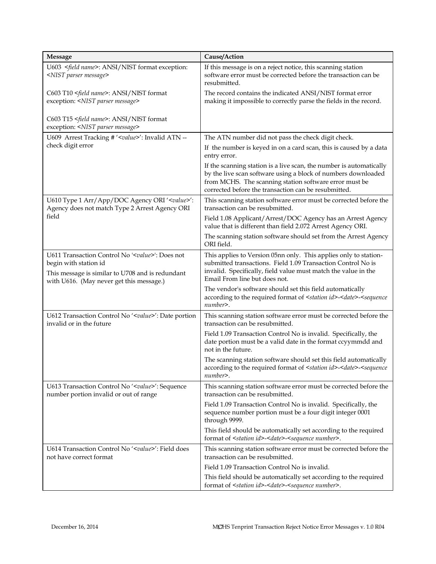| Message                                                                                                                                                                              | Cause/Action                                                                                                                                                                                                                                           |
|--------------------------------------------------------------------------------------------------------------------------------------------------------------------------------------|--------------------------------------------------------------------------------------------------------------------------------------------------------------------------------------------------------------------------------------------------------|
| U603 <field name="">: ANSI/NIST format exception:<br/><nist message="" parser=""></nist></field>                                                                                     | If this message is on a reject notice, this scanning station<br>software error must be corrected before the transaction can be<br>resubmitted.                                                                                                         |
| C603 T10 <field name="">: ANSI/NIST format<br/>exception: <nist message="" parser=""></nist></field>                                                                                 | The record contains the indicated ANSI/NIST format error<br>making it impossible to correctly parse the fields in the record.                                                                                                                          |
| C603 T15 <field name="">: ANSI/NIST format<br/>exception: <nist message="" parser=""></nist></field>                                                                                 |                                                                                                                                                                                                                                                        |
| U609 Arrest Tracking # ' <value>': Invalid ATN --</value>                                                                                                                            | The ATN number did not pass the check digit check.                                                                                                                                                                                                     |
| check digit error                                                                                                                                                                    | If the number is keyed in on a card scan, this is caused by a data<br>entry error.                                                                                                                                                                     |
|                                                                                                                                                                                      | If the scanning station is a live scan, the number is automatically<br>by the live scan software using a block of numbers downloaded<br>from MCHS. The scanning station software error must be<br>corrected before the transaction can be resubmitted. |
| U610 Type 1 Arr/App/DOC Agency ORI ' <value>':<br/>Agency does not match Type 2 Arrest Agency ORI</value>                                                                            | This scanning station software error must be corrected before the<br>transaction can be resubmitted.                                                                                                                                                   |
| field                                                                                                                                                                                | Field 1.08 Applicant/Arrest/DOC Agency has an Arrest Agency<br>value that is different than field 2.072 Arrest Agency ORI.                                                                                                                             |
|                                                                                                                                                                                      | The scanning station software should set from the Arrest Agency<br>ORI field.                                                                                                                                                                          |
| U611 Transaction Control No ' <value>': Does not<br/>begin with station id<br/>This message is similar to U708 and is redundant<br/>with U616. (May never get this message.)</value> | This applies to Version 05nn only. This applies only to station-<br>submitted transactions. Field 1.09 Transaction Control No is<br>invalid. Specifically, field value must match the value in the<br>Email From line but does not.                    |
|                                                                                                                                                                                      | The vendor's software should set this field automatically<br>according to the required format of <station id="">-<date>-<sequence<br>number&gt;.</sequence<br></date></station>                                                                        |
| U612 Transaction Control No ' <value>': Date portion<br/>invalid or in the future</value>                                                                                            | This scanning station software error must be corrected before the<br>transaction can be resubmitted.                                                                                                                                                   |
|                                                                                                                                                                                      | Field 1.09 Transaction Control No is invalid. Specifically, the<br>date portion must be a valid date in the format ccyymmdd and<br>not in the future.                                                                                                  |
|                                                                                                                                                                                      | The scanning station software should set this field automatically<br>according to the required format of <station id="">-<date>-<sequence<br>number&gt;.</sequence<br></date></station>                                                                |
| U613 Transaction Control No ' <value>': Sequence<br/>number portion invalid or out of range</value>                                                                                  | This scanning station software error must be corrected before the<br>transaction can be resubmitted.                                                                                                                                                   |
|                                                                                                                                                                                      | Field 1.09 Transaction Control No is invalid. Specifically, the<br>sequence number portion must be a four digit integer 0001<br>through 9999.                                                                                                          |
|                                                                                                                                                                                      | This field should be automatically set according to the required<br>format of <station id="">-<date>-<sequence number="">.</sequence></date></station>                                                                                                 |
| U614 Transaction Control No ' <value>': Field does<br/>not have correct format</value>                                                                                               | This scanning station software error must be corrected before the<br>transaction can be resubmitted.                                                                                                                                                   |
|                                                                                                                                                                                      | Field 1.09 Transaction Control No is invalid.                                                                                                                                                                                                          |
|                                                                                                                                                                                      | This field should be automatically set according to the required<br>format of <station id="">-<date>-<sequence number="">.</sequence></date></station>                                                                                                 |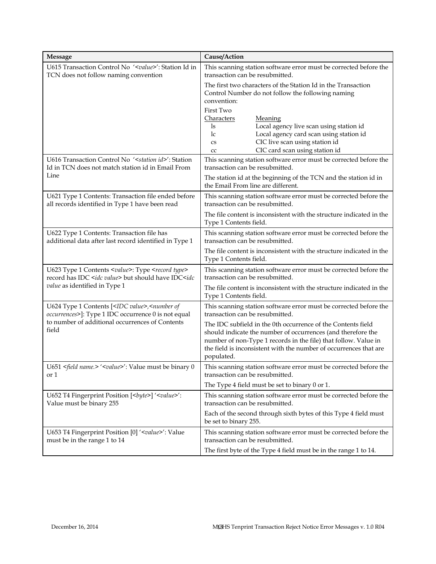| <b>Message</b>                                                                                                                                                                                                                                                    | Cause/Action                                                                                                                                                                                                                                                                       |
|-------------------------------------------------------------------------------------------------------------------------------------------------------------------------------------------------------------------------------------------------------------------|------------------------------------------------------------------------------------------------------------------------------------------------------------------------------------------------------------------------------------------------------------------------------------|
| U615 Transaction Control No ' <value>': Station Id in<br/>TCN does not follow naming convention</value>                                                                                                                                                           | This scanning station software error must be corrected before the<br>transaction can be resubmitted.                                                                                                                                                                               |
|                                                                                                                                                                                                                                                                   | The first two characters of the Station Id in the Transaction<br>Control Number do not follow the following naming<br>convention:<br>First Two                                                                                                                                     |
|                                                                                                                                                                                                                                                                   | Characters<br><b>Meaning</b><br>Local agency live scan using station id<br>ls<br>Local agency card scan using station id<br>lc<br>CIC live scan using station id<br>$\mathbf{C}\mathbf{S}$<br>CIC card scan using station id<br>cc                                                 |
| U616 Transaction Control No ' < station id>': Station<br>Id in TCN does not match station id in Email From                                                                                                                                                        | This scanning station software error must be corrected before the<br>transaction can be resubmitted.                                                                                                                                                                               |
| Line                                                                                                                                                                                                                                                              | The station id at the beginning of the TCN and the station id in<br>the Email From line are different.                                                                                                                                                                             |
| U621 Type 1 Contents: Transaction file ended before<br>all records identified in Type 1 have been read                                                                                                                                                            | This scanning station software error must be corrected before the<br>transaction can be resubmitted.                                                                                                                                                                               |
|                                                                                                                                                                                                                                                                   | The file content is inconsistent with the structure indicated in the<br>Type 1 Contents field.                                                                                                                                                                                     |
| U622 Type 1 Contents: Transaction file has<br>additional data after last record identified in Type 1                                                                                                                                                              | This scanning station software error must be corrected before the<br>transaction can be resubmitted.                                                                                                                                                                               |
|                                                                                                                                                                                                                                                                   | The file content is inconsistent with the structure indicated in the<br>Type 1 Contents field.                                                                                                                                                                                     |
| U623 Type 1 Contents <value>: Type <record type=""><br/>record has IDC <idc value=""> but should have IDC<idc< td=""><td>This scanning station software error must be corrected before the<br/>transaction can be resubmitted.</td></idc<></idc></record></value> | This scanning station software error must be corrected before the<br>transaction can be resubmitted.                                                                                                                                                                               |
| value as identified in Type 1                                                                                                                                                                                                                                     | The file content is inconsistent with the structure indicated in the<br>Type 1 Contents field.                                                                                                                                                                                     |
| U624 Type 1 Contents [ <idc value="">,<number of<br="">occurrences&gt;]: Type 1 IDC occurrence 0 is not equal</number></idc>                                                                                                                                      | This scanning station software error must be corrected before the<br>transaction can be resubmitted.                                                                                                                                                                               |
| to number of additional occurrences of Contents<br>field                                                                                                                                                                                                          | The IDC subfield in the 0th occurrence of the Contents field<br>should indicate the number of occurrences (and therefore the<br>number of non-Type 1 records in the file) that follow. Value in<br>the field is inconsistent with the number of occurrences that are<br>populated. |
| U651 <field name.=""> '<value>': Value must be binary 0<br/>or 1</value></field>                                                                                                                                                                                  | This scanning station software error must be corrected before the<br>transaction can be resubmitted.                                                                                                                                                                               |
|                                                                                                                                                                                                                                                                   | The Type 4 field must be set to binary $0$ or $1$ .                                                                                                                                                                                                                                |
| U652 T4 Fingerprint Position [<br>byte>] ' <value>':<br/>Value must be binary 255</value>                                                                                                                                                                         | This scanning station software error must be corrected before the<br>transaction can be resubmitted.                                                                                                                                                                               |
|                                                                                                                                                                                                                                                                   | Each of the second through sixth bytes of this Type 4 field must<br>be set to binary 255.                                                                                                                                                                                          |
| U653 T4 Fingerprint Position [0] ' <value>': Value<br/>must be in the range 1 to 14</value>                                                                                                                                                                       | This scanning station software error must be corrected before the<br>transaction can be resubmitted.                                                                                                                                                                               |
|                                                                                                                                                                                                                                                                   | The first byte of the Type 4 field must be in the range 1 to 14.                                                                                                                                                                                                                   |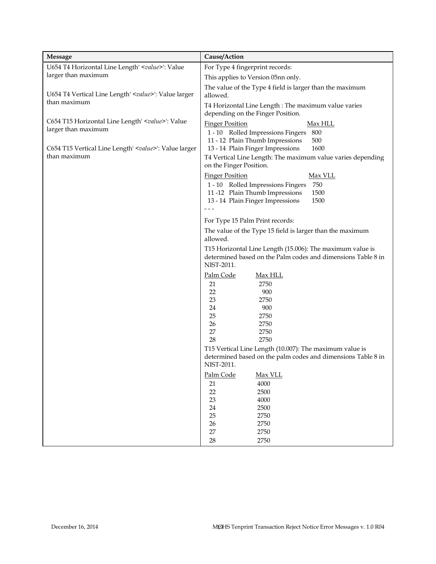| <b>Message</b>                                                                   | Cause/Action                                                                                                                                                                                                                                                         |
|----------------------------------------------------------------------------------|----------------------------------------------------------------------------------------------------------------------------------------------------------------------------------------------------------------------------------------------------------------------|
| U654 T4 Horizontal Line Length' <value>': Value</value>                          | For Type 4 fingerprint records:                                                                                                                                                                                                                                      |
| larger than maximum                                                              | This applies to Version 05nn only.                                                                                                                                                                                                                                   |
| U654 T4 Vertical Line Length' <value>': Value larger<br/>than maximum</value>    | The value of the Type 4 field is larger than the maximum<br>allowed.                                                                                                                                                                                                 |
|                                                                                  | T4 Horizontal Line Length: The maximum value varies<br>depending on the Finger Position.                                                                                                                                                                             |
| C654 T15 Horizontal Line Length' <value>': Value<br/>larger than maximum</value> | <b>Finger Position</b><br><u>Max HLL</u><br>800<br>1 - 10 Rolled Impressions Fingers<br>500<br>11 - 12 Plain Thumb Impressions                                                                                                                                       |
| C654 T15 Vertical Line Length' <value>': Value larger<br/>than maximum</value>   | 13 - 14 Plain Finger Impressions<br>1600<br>T4 Vertical Line Length: The maximum value varies depending                                                                                                                                                              |
|                                                                                  | on the Finger Position.<br><b>Finger Position</b><br><u>Max VLL</u><br>750<br>1 - 10 Rolled Impressions Fingers<br>11-12 Plain Thumb Impressions<br>1500<br>1500<br>13 - 14 Plain Finger Impressions                                                                 |
|                                                                                  | For Type 15 Palm Print records:                                                                                                                                                                                                                                      |
|                                                                                  | The value of the Type 15 field is larger than the maximum<br>allowed.                                                                                                                                                                                                |
|                                                                                  | T15 Horizontal Line Length (15.006): The maximum value is<br>determined based on the Palm codes and dimensions Table 8 in<br>NIST-2011.                                                                                                                              |
|                                                                                  | Palm Code<br><u>Max HLL</u><br>2750<br>21<br>22<br>900<br>23<br>2750<br>24<br>900<br>25<br>2750<br>26<br>2750<br>27<br>2750<br>28<br>2750<br>T15 Vertical Line Length (10.007): The maximum value is<br>determined based on the palm codes and dimensions Table 8 in |
|                                                                                  | NIST-2011.                                                                                                                                                                                                                                                           |
|                                                                                  | Palm Code<br>Max VLL<br>4000<br>21<br>2500<br>22<br>23<br>4000<br>24<br>2500<br>25<br>2750<br>26<br>2750<br>27<br>2750                                                                                                                                               |
|                                                                                  | $28\,$<br>2750                                                                                                                                                                                                                                                       |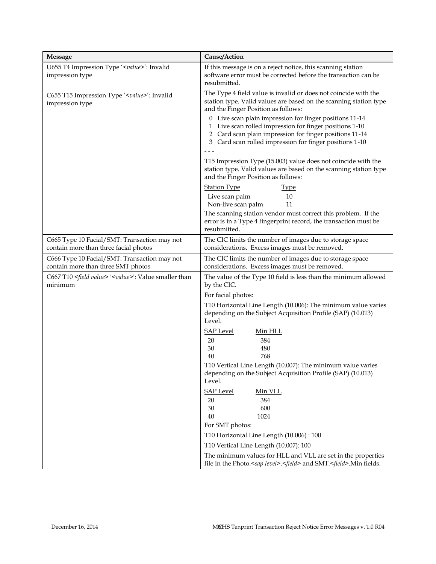| <b>Message</b>                                                                        | Cause/Action                                                                                                                                                                                                                           |
|---------------------------------------------------------------------------------------|----------------------------------------------------------------------------------------------------------------------------------------------------------------------------------------------------------------------------------------|
| U655 T4 Impression Type ' <value>': Invalid<br/>impression type</value>               | If this message is on a reject notice, this scanning station<br>software error must be corrected before the transaction can be<br>resubmitted.                                                                                         |
| C655 T15 Impression Type ' <value>': Invalid<br/>impression type</value>              | The Type 4 field value is invalid or does not coincide with the<br>station type. Valid values are based on the scanning station type<br>and the Finger Position as follows:<br>0 Live scan plain impression for finger positions 11-14 |
|                                                                                       | 1 Live scan rolled impression for finger positions 1-10<br>2 Card scan plain impression for finger positions 11-14<br>3 Card scan rolled impression for finger positions 1-10                                                          |
|                                                                                       | T15 Impression Type (15.003) value does not coincide with the<br>station type. Valid values are based on the scanning station type<br>and the Finger Position as follows:                                                              |
|                                                                                       | <b>Station Type</b><br><u>Type</u><br>Live scan palm<br>10<br>Non-live scan palm<br>11                                                                                                                                                 |
|                                                                                       | The scanning station vendor must correct this problem. If the<br>error is in a Type 4 fingerprint record, the transaction must be<br>resubmitted.                                                                                      |
| C665 Type 10 Facial/SMT: Transaction may not<br>contain more than three facial photos | The CIC limits the number of images due to storage space<br>considerations. Excess images must be removed.                                                                                                                             |
| C666 Type 10 Facial/SMT: Transaction may not<br>contain more than three SMT photos    | The CIC limits the number of images due to storage space<br>considerations. Excess images must be removed.                                                                                                                             |
| C667 T10 <field value=""> '<value>': Value smaller than<br/>minimum</value></field>   | The value of the Type 10 field is less than the minimum allowed<br>by the CIC.                                                                                                                                                         |
|                                                                                       | For facial photos:                                                                                                                                                                                                                     |
|                                                                                       | T10 Horizontal Line Length (10.006): The minimum value varies<br>depending on the Subject Acquisition Profile (SAP) (10.013)<br>Level.                                                                                                 |
|                                                                                       | <b>SAP Level</b><br><u>Min HLL</u>                                                                                                                                                                                                     |
|                                                                                       | 384<br>20                                                                                                                                                                                                                              |
|                                                                                       | 30<br>480<br>768<br>40                                                                                                                                                                                                                 |
|                                                                                       | T10 Vertical Line Length (10.007): The minimum value varies<br>depending on the Subject Acquisition Profile (SAP) (10.013)<br>Level.                                                                                                   |
|                                                                                       | <b>SAP Level</b><br>Min VLL<br>384<br>20<br>30<br>600<br>40<br>1024                                                                                                                                                                    |
|                                                                                       | For SMT photos:                                                                                                                                                                                                                        |
|                                                                                       | T10 Horizontal Line Length (10.006): 100                                                                                                                                                                                               |
|                                                                                       | T10 Vertical Line Length (10.007): 100                                                                                                                                                                                                 |
|                                                                                       | The minimum values for HLL and VLL are set in the properties<br>file in the Photo. <sap level="">.<field> and SMT.<field>.Min fields.</field></field></sap>                                                                            |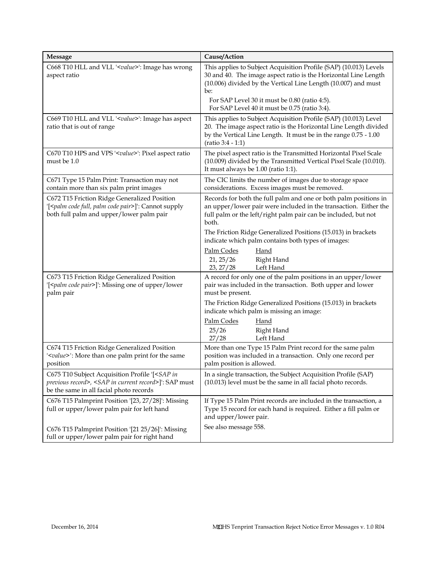| Message                                                                                                                                                                         | Cause/Action                                                                                                                                                                                                                    |
|---------------------------------------------------------------------------------------------------------------------------------------------------------------------------------|---------------------------------------------------------------------------------------------------------------------------------------------------------------------------------------------------------------------------------|
| C668 T10 HLL and VLL ' <value>': Image has wrong<br/>aspect ratio</value>                                                                                                       | This applies to Subject Acquisition Profile (SAP) (10.013) Levels<br>30 and 40. The image aspect ratio is the Horizontal Line Length<br>(10.006) divided by the Vertical Line Length (10.007) and must<br>be:                   |
|                                                                                                                                                                                 | For SAP Level 30 it must be 0.80 (ratio 4:5).<br>For SAP Level 40 it must be 0.75 (ratio 3:4).                                                                                                                                  |
| C669 T10 HLL and VLL ' <value>': Image has aspect<br/>ratio that is out of range</value>                                                                                        | This applies to Subject Acquisition Profile (SAP) (10.013) Level<br>20. The image aspect ratio is the Horizontal Line Length divided<br>by the Vertical Line Length. It must be in the range 0.75 - 1.00<br>$(ratio 3:4 - 1:1)$ |
| C670 T10 HPS and VPS ' <value>': Pixel aspect ratio<br/>must be 1.0</value>                                                                                                     | The pixel aspect ratio is the Transmitted Horizontal Pixel Scale<br>(10.009) divided by the Transmitted Vertical Pixel Scale (10.010).<br>It must always be 1.00 (ratio 1:1).                                                   |
| C671 Type 15 Palm Print: Transaction may not<br>contain more than six palm print images                                                                                         | The CIC limits the number of images due to storage space<br>considerations. Excess images must be removed.                                                                                                                      |
| C672 T15 Friction Ridge Generalized Position<br>'[ <palm code="" full,="" pair="" palm="">]': Cannot supply<br/>both full palm and upper/lower palm pair</palm>                 | Records for both the full palm and one or both palm positions in<br>an upper/lower pair were included in the transaction. Either the<br>full palm or the left/right palm pair can be included, but not<br>both.                 |
|                                                                                                                                                                                 | The Friction Ridge Generalized Positions (15.013) in brackets<br>indicate which palm contains both types of images:                                                                                                             |
|                                                                                                                                                                                 | Palm Codes<br>Hand<br>Right Hand<br>21, 25/26<br>23, 27/28<br>Left Hand                                                                                                                                                         |
| C673 T15 Friction Ridge Generalized Position<br>'[ <palm code="" pair="">]': Missing one of upper/lower<br/>palm pair</palm>                                                    | A record for only one of the palm positions in an upper/lower<br>pair was included in the transaction. Both upper and lower<br>must be present.                                                                                 |
|                                                                                                                                                                                 | The Friction Ridge Generalized Positions (15.013) in brackets<br>indicate which palm is missing an image:                                                                                                                       |
|                                                                                                                                                                                 | Palm Codes<br>Hand<br>25/26<br>Right Hand<br>Left Hand<br>27/28                                                                                                                                                                 |
| C674 T15 Friction Ridge Generalized Position<br>' <value>': More than one palm print for the same<br/>position</value>                                                          | More than one Type 15 Palm Print record for the same palm<br>position was included in a transaction. Only one record per<br>palm position is allowed.                                                                           |
| C675 T10 Subject Acquisition Profile '[ <sap in<br="">previous record&gt;, <sap current="" in="" record="">]': SAP must<br/>be the same in all facial photo records</sap></sap> | In a single transaction, the Subject Acquisition Profile (SAP)<br>(10.013) level must be the same in all facial photo records.                                                                                                  |
| C676 T15 Palmprint Position '[23, 27/28]': Missing<br>full or upper/lower palm pair for left hand                                                                               | If Type 15 Palm Print records are included in the transaction, a<br>Type 15 record for each hand is required. Either a fill palm or<br>and upper/lower pair.                                                                    |
| C676 T15 Palmprint Position '[21 25/26]': Missing<br>full or upper/lower palm pair for right hand                                                                               | See also message 558.                                                                                                                                                                                                           |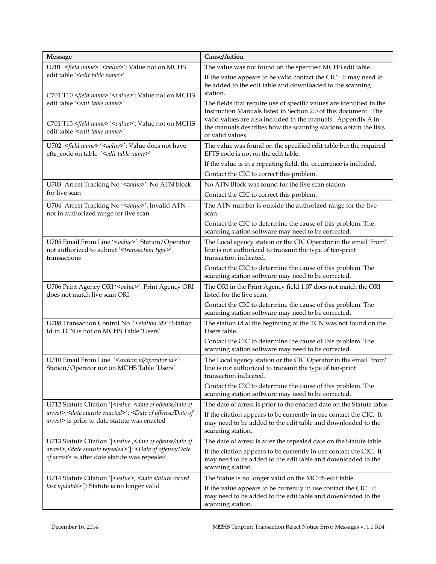| <b>Message</b>                                                                                                                                                          | Cause/Action                                                                                                                                            |
|-------------------------------------------------------------------------------------------------------------------------------------------------------------------------|---------------------------------------------------------------------------------------------------------------------------------------------------------|
| U701 <field name=""> '<value>': Value not on MCHS</value></field>                                                                                                       | The value was not found on the specified MCHS edit table.                                                                                               |
| edit table ' <edit name="" table="">'<br/>C701 T10 <field name=""> '<value>': Value not on MCHS</value></field></edit>                                                  | If the value appears to be valid contact the CIC. It may need to<br>be added to the edit table and downloaded to the scanning<br>station.               |
| edit table ' <edit name="" table="">'</edit>                                                                                                                            | The fields that require use of specific values are identified in the<br>Instruction Manuals listed in Section 2.0 of this document. The                 |
| C701 T15 <field name=""> '<value>': Value not on MCHS<br/>edit table '<edit name="" table="">'</edit></value></field>                                                   | valid values are also included in the manuals. Appendix A in<br>the manuals describes how the scanning stations obtain the lists<br>of valid values.    |
| U702 <field name=""> '<value>': Value does not have<br/>efts_code on table '<edit name="" table="">'</edit></value></field>                                             | The value was found on the specified edit table but the required<br>EFTS code is not on the edit table.                                                 |
|                                                                                                                                                                         | If the value is in a repeating field, the occurrence is included.                                                                                       |
|                                                                                                                                                                         | Contact the CIC to correct this problem.                                                                                                                |
| U703 Arrest Tracking No ' <value>': No ATN block</value>                                                                                                                | No ATN Block was found for the live scan station.                                                                                                       |
| for live scan                                                                                                                                                           | Contact the CIC to correct this problem.                                                                                                                |
| U704 Arrest Tracking No ' <value>': Invalid ATN --<br/>not in authorized range for live scan</value>                                                                    | The ATN number is outside the authorized range for the live<br>scan.                                                                                    |
|                                                                                                                                                                         | Contact the CIC to determine the cause of this problem. The<br>scanning station software may need to be corrected.                                      |
| U705 Email From Line ' <value>': Station/Operator<br/>not authorized to submit '<transaction type="">'<br/>transactions</transaction></value>                           | The Local agency station or the CIC Operator in the email 'from'<br>line is not authorized to transmit the type of ten-print<br>transaction indicated.  |
|                                                                                                                                                                         | Contact the CIC to determine the cause of this problem. The<br>scanning station software may need to be corrected.                                      |
| U706 Print Agency ORI ' <value>': Print Agency ORI<br/>does not match live scan ORI</value>                                                                             | The ORI in the Print Agency field 1.07 does not match the ORI<br>listed for the live scan.                                                              |
|                                                                                                                                                                         | Contact the CIC to determine the cause of this problem. The<br>scanning station software may need to be corrected.                                      |
| U708 Transaction Control No ' <station id="">': Station<br/>Id in TCN is not on MCHS Table 'Users'</station>                                                            | The station id at the beginning of the TCN was not found on the<br>Users table.                                                                         |
|                                                                                                                                                                         | Contact the CIC to determine the cause of this problem. The<br>scanning station software may need to be corrected.                                      |
| U710 Email From Line ' <station id="" operator="">':<br/>Station/Operator not on MCHS Table 'Users'</station>                                                           | The Local agency station or the CIC Operator in the email 'from'<br>line is not authorized to transmit the type of ten-print<br>transaction indicated.  |
|                                                                                                                                                                         | Contact the CIC to determine the cause of this problem. The<br>scanning station software may need to be corrected.                                      |
| U712 Statute Citation '[ <value, <date="" date="" of="" of<="" offense="" td=""><td>The date of arrest is prior to the enacted date on the Statute table.</td></value,> | The date of arrest is prior to the enacted date on the Statute table.                                                                                   |
| arrest>, <date enacted="" statute="">': <date date="" of="" of<br="" offense="">arrest&gt; is prior to date statute was enacted</date></date>                           | If the citation appears to be currently in use contact the CIC. It<br>may need to be added to the edit table and downloaded to the<br>scanning station. |
| U713 Statute Citation '[ <value ,<date="" date="" of="" of<="" offense="" td=""><td>The date of arrest is after the repealed date on the Statute table.</td></value>    | The date of arrest is after the repealed date on the Statute table.                                                                                     |
| arrest>, <date repealed="" statute="">']: <date date<br="" of="" offense="">of arrest&gt; is after date statute was repealed</date></date>                              | If the citation appears to be currently in use contact the CIC. It<br>may need to be added to the edit table and downloaded to the<br>scanning station. |
| U714 Statute Citation '[ <value>, <date record<="" statute="" td=""><td>The Statue is no longer valid on the MCHS edit table.</td></date></value>                       | The Statue is no longer valid on the MCHS edit table.                                                                                                   |
| last updatde>']: Statute is no longer valid                                                                                                                             | If the value appears to be currently in use contact the CIC. It<br>may need to be added to the edit table and downloaded to the<br>scanning station.    |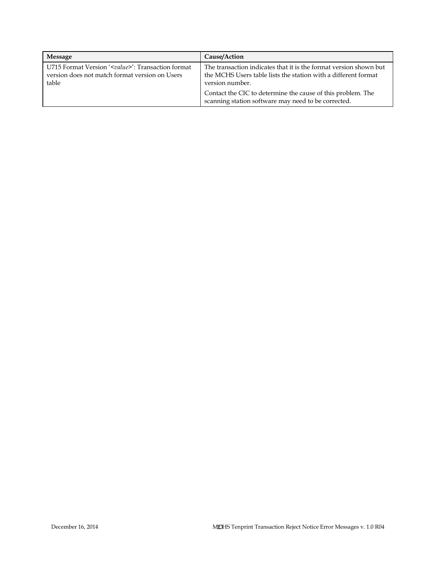| Message                                                                                                                 | Cause/Action                                                                                                                                           |
|-------------------------------------------------------------------------------------------------------------------------|--------------------------------------------------------------------------------------------------------------------------------------------------------|
| U715 Format Version ' <value>': Transaction format<br/>version does not match format version on Users<br/>table</value> | The transaction indicates that it is the format version shown but<br>the MCHS Users table lists the station with a different format<br>version number. |
|                                                                                                                         | Contact the CIC to determine the cause of this problem. The<br>scanning station software may need to be corrected.                                     |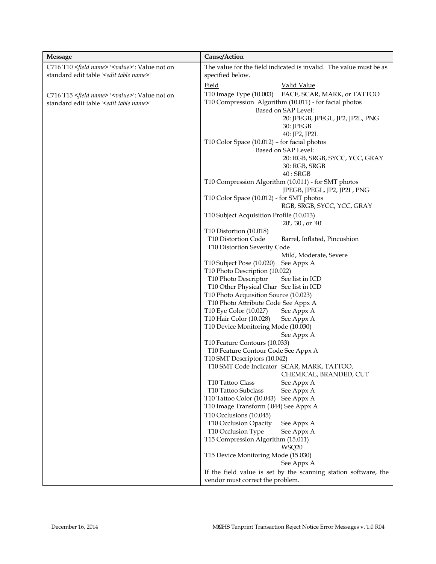| <b>Message</b>                                                                                                            | Cause/Action                                                                                                                                                                             |
|---------------------------------------------------------------------------------------------------------------------------|------------------------------------------------------------------------------------------------------------------------------------------------------------------------------------------|
| C716 T10 <field name=""> '<value>': Value not on</value></field>                                                          | The value for the field indicated is invalid. The value must be as                                                                                                                       |
| standard edit table ' <edit name="" table="">'</edit>                                                                     | specified below.                                                                                                                                                                         |
|                                                                                                                           | Field<br><b>Valid Value</b>                                                                                                                                                              |
| C716 T15 <field name=""> '<value>': Value not on<br/>standard edit table '<edit name="" table="">'</edit></value></field> | T10 Image Type (10.003)<br>FACE, SCAR, MARK, or TATTOO<br>T10 Compression Algorithm (10.011) - for facial photos<br>Based on SAP Level:<br>20: JPEGB, JPEGL, JP2, JP2L, PNG<br>30: JPEGB |
|                                                                                                                           | 40: JP2, JP2L<br>T10 Color Space (10.012) - for facial photos                                                                                                                            |
|                                                                                                                           | Based on SAP Level:                                                                                                                                                                      |
|                                                                                                                           | 20: RGB, SRGB, SYCC, YCC, GRAY<br>30: RGB, SRGB<br>40:SRGB                                                                                                                               |
|                                                                                                                           | T10 Compression Algorithm (10.011) - for SMT photos                                                                                                                                      |
|                                                                                                                           | JPEGB, JPEGL, JP2, JP2L, PNG                                                                                                                                                             |
|                                                                                                                           | T10 Color Space (10.012) - for SMT photos<br>RGB, SRGB, SYCC, YCC, GRAY                                                                                                                  |
|                                                                                                                           | T10 Subject Acquisition Profile (10.013)<br>$'20'$ , '30', or '40'                                                                                                                       |
|                                                                                                                           | T10 Distortion (10.018)                                                                                                                                                                  |
|                                                                                                                           | T10 Distortion Code<br>Barrel, Inflated, Pincushion                                                                                                                                      |
|                                                                                                                           | T10 Distortion Severity Code                                                                                                                                                             |
|                                                                                                                           | Mild, Moderate, Severe<br>T10 Subject Pose (10.020)<br>See Appx A                                                                                                                        |
|                                                                                                                           | T10 Photo Description (10.022)                                                                                                                                                           |
|                                                                                                                           | T <sub>10</sub> Photo Descriptor<br>See list in ICD                                                                                                                                      |
|                                                                                                                           | T10 Other Physical Char See list in ICD                                                                                                                                                  |
|                                                                                                                           | T10 Photo Acquisition Source (10.023)                                                                                                                                                    |
|                                                                                                                           | T10 Photo Attribute Code See Appx A                                                                                                                                                      |
|                                                                                                                           | T10 Eye Color (10.027)<br>See Appx A                                                                                                                                                     |
|                                                                                                                           | T10 Hair Color (10.028)<br>See Appx A                                                                                                                                                    |
|                                                                                                                           | T10 Device Monitoring Mode (10.030)                                                                                                                                                      |
|                                                                                                                           | See Appx A                                                                                                                                                                               |
|                                                                                                                           | T10 Feature Contours (10.033)<br>T10 Feature Contour Code See Appx A                                                                                                                     |
|                                                                                                                           | T10 SMT Descriptors (10.042)                                                                                                                                                             |
|                                                                                                                           | T10 SMT Code Indicator SCAR, MARK, TATTOO,                                                                                                                                               |
|                                                                                                                           | CHEMICAL, BRANDED, CUT                                                                                                                                                                   |
|                                                                                                                           | T10 Tattoo Class<br>See Appx A                                                                                                                                                           |
|                                                                                                                           | T10 Tattoo Subclass<br>See Appx A                                                                                                                                                        |
|                                                                                                                           | T10 Tattoo Color (10.043)<br>See Appx A                                                                                                                                                  |
|                                                                                                                           | T10 Image Transform (.044) See Appx A                                                                                                                                                    |
|                                                                                                                           | T10 Occlusions (10.045)                                                                                                                                                                  |
|                                                                                                                           | T10 Occlusion Opacity<br>See Appx A                                                                                                                                                      |
|                                                                                                                           | T10 Occlusion Type<br>See Appx A                                                                                                                                                         |
|                                                                                                                           | T15 Compression Algorithm (15.011)<br>WSQ20                                                                                                                                              |
|                                                                                                                           | T15 Device Monitoring Mode (15.030)                                                                                                                                                      |
|                                                                                                                           | See Appx A                                                                                                                                                                               |
|                                                                                                                           | If the field value is set by the scanning station software, the<br>vendor must correct the problem.                                                                                      |